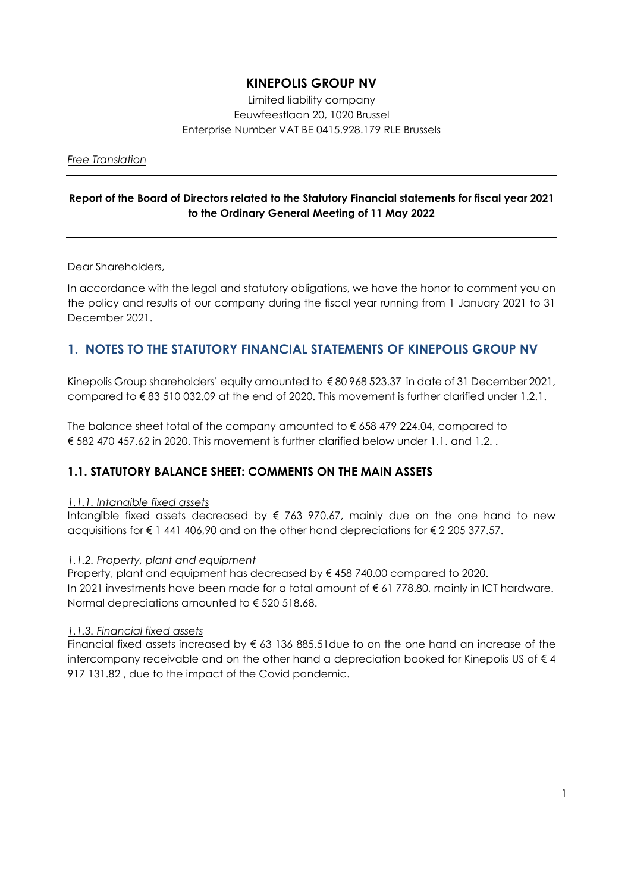# **KINEPOLIS GROUP NV**

Limited liability company Eeuwfeestlaan 20, 1020 Brussel Enterprise Number VAT BE 0415.928.179 RLE Brussels

*Free Translation*

## **Report of the Board of Directors related to the Statutory Financial statements for fiscal year 2021 to the Ordinary General Meeting of 11 May 2022**

Dear Shareholders,

In accordance with the legal and statutory obligations, we have the honor to comment you on the policy and results of our company during the fiscal year running from 1 January 2021 to 31 December 2021.

# **1. NOTES TO THE STATUTORY FINANCIAL STATEMENTS OF KINEPOLIS GROUP NV**

Kinepolis Group shareholders' equity amounted to € 80 968 523.37 in date of 31 December 2021, compared to € 83 510 032.09 at the end of 2020. This movement is further clarified under 1.2.1.

The balance sheet total of the company amounted to € 658 479 224.04, compared to € 582 470 457.62 in 2020. This movement is further clarified below under 1.1. and 1.2. .

# **1.1. STATUTORY BALANCE SHEET: COMMENTS ON THE MAIN ASSETS**

### *1.1.1. Intangible fixed assets*

Intangible fixed assets decreased by  $\epsilon$  763 970.67, mainly due on the one hand to new acquisitions for € 1 441 406,90 and on the other hand depreciations for € 2 205 377.57.

### *1.1.2. Property, plant and equipment*

Property, plant and equipment has decreased by € 458 740.00 compared to 2020. In 2021 investments have been made for a total amount of € 61 778.80, mainly in ICT hardware. Normal depreciations amounted to € 520 518.68.

### *1.1.3. Financial fixed assets*

Financial fixed assets increased by  $\epsilon$  63 136 885.51due to on the one hand an increase of the intercompany receivable and on the other hand a depreciation booked for Kinepolis US of  $\epsilon$  4 917 131.82 , due to the impact of the Covid pandemic.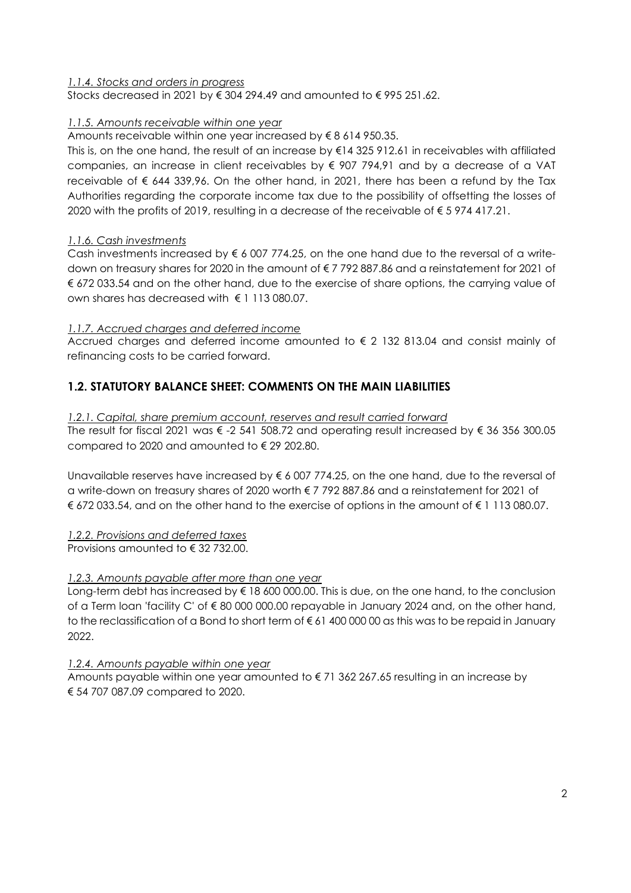### *1.1.4. Stocks and orders in progress*

Stocks decreased in 2021 by  $\epsilon$  304 294.49 and amounted to  $\epsilon$  995 251.62.

### *1.1.5. Amounts receivable within one year*

Amounts receivable within one year increased by € 8 614 950.35.

This is, on the one hand, the result of an increase by €14 325 912.61 in receivables with affiliated companies, an increase in client receivables by € 907 794,91 and by a decrease of a VAT receivable of  $\epsilon$  644 339,96. On the other hand, in 2021, there has been a refund by the Tax Authorities regarding the corporate income tax due to the possibility of offsetting the losses of 2020 with the profits of 2019, resulting in a decrease of the receivable of € 5 974 417.21.

### *1.1.6. Cash investments*

Cash investments increased by  $\epsilon$  6 007 774.25, on the one hand due to the reversal of a writedown on treasury shares for 2020 in the amount of € 7 792 887.86 and a reinstatement for 2021 of € 672 033.54 and on the other hand, due to the exercise of share options, the carrying value of own shares has decreased with  $\epsilon$  1 113 080 07

#### *1.1.7. Accrued charges and deferred income*

Accrued charges and deferred income amounted to € 2 132 813.04 and consist mainly of refinancing costs to be carried forward.

## **1.2. STATUTORY BALANCE SHEET: COMMENTS ON THE MAIN LIABILITIES**

*1.2.1. Capital, share premium account, reserves and result carried forward*  The result for fiscal 2021 was € -2 541 508.72 and operating result increased by € 36 356 300.05 compared to 2020 and amounted to € 29 202.80.

Unavailable reserves have increased by  $\epsilon$  6 007 774.25, on the one hand, due to the reversal of a write-down on treasury shares of 2020 worth € 7 792 887.86 and a reinstatement for 2021 of € 672 033.54, and on the other hand to the exercise of options in the amount of € 1 113 080.07.

### *1.2.2. Provisions and deferred taxes*

Provisions amounted to € 32 732.00.

### *1.2.3. Amounts payable after more than one year*

Long-term debt has increased by € 18 600 000.00. This is due, on the one hand, to the conclusion of a Term loan 'facility C' of € 80 000 000.00 repayable in January 2024 and, on the other hand, to the reclassification of a Bond to short term of € 61 400 000 00 as this was to be repaid in January 2022.

*1.2.4. Amounts payable within one year* 

Amounts payable within one year amounted to  $\epsilon$  71 362 267.65 resulting in an increase by € 54 707 087.09 compared to 2020.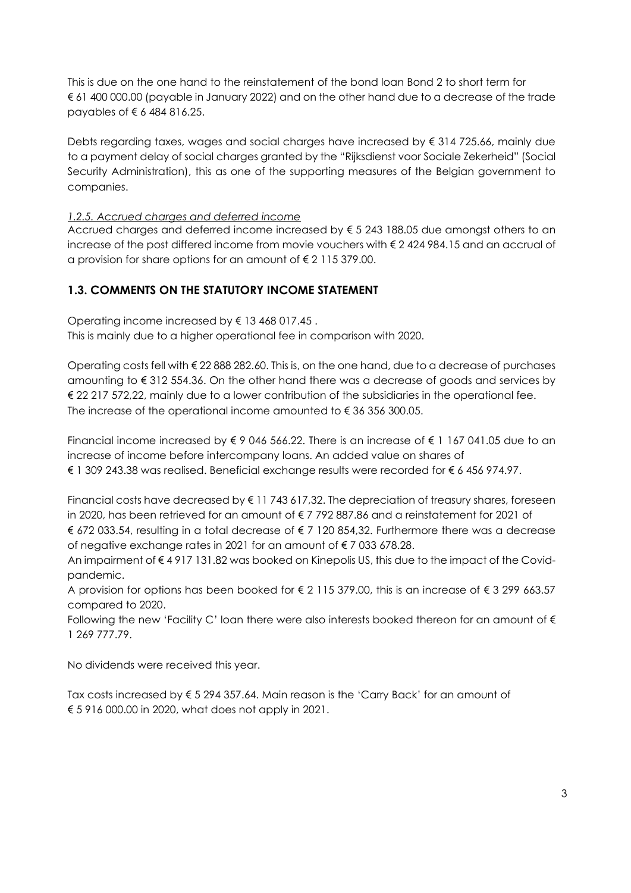This is due on the one hand to the reinstatement of the bond loan Bond 2 to short term for € 61 400 000.00 (payable in January 2022) and on the other hand due to a decrease of the trade payables of € 6 484 816.25.

Debts regarding taxes, wages and social charges have increased by € 314 725.66, mainly due to a payment delay of social charges granted by the "Rijksdienst voor Sociale Zekerheid" (Social Security Administration), this as one of the supporting measures of the Belgian government to companies.

## *1.2.5. Accrued charges and deferred income*

Accrued charges and deferred income increased by  $\xi$  5 243 188.05 due amongst others to an increase of the post differed income from movie vouchers with  $\epsilon$  2 424 984.15 and an accrual of a provision for share options for an amount of € 2 115 379.00.

## **1.3. COMMENTS ON THE STATUTORY INCOME STATEMENT**

Operating income increased by € 13 468 017.45 .

This is mainly due to a higher operational fee in comparison with 2020.

Operating costs fell with € 22 888 282.60. This is, on the one hand, due to a decrease of purchases amounting to  $\epsilon$  312 554.36. On the other hand there was a decrease of goods and services by € 22 217 572,22, mainly due to a lower contribution of the subsidiaries in the operational fee. The increase of the operational income amounted to  $\epsilon$  36 356 300.05.

Financial income increased by  $\xi$  9 046 566.22. There is an increase of  $\xi$  1 167 041.05 due to an increase of income before intercompany loans. An added value on shares of € 1 309 243.38 was realised. Beneficial exchange results were recorded for € 6 456 974.97.

Financial costs have decreased by  $\epsilon$  11 743 617,32. The depreciation of treasury shares, foreseen in 2020, has been retrieved for an amount of € 7 792 887.86 and a reinstatement for 2021 of € 672 033.54, resulting in a total decrease of € 7 120 854,32. Furthermore there was a decrease of negative exchange rates in 2021 for an amount of € 7 033 678.28.

An impairment of € 4 917 131.82 was booked on Kinepolis US, this due to the impact of the Covidpandemic.

A provision for options has been booked for € 2 115 379.00, this is an increase of € 3 299 663.57 compared to 2020.

Following the new 'Facility C' loan there were also interests booked thereon for an amount of  $\epsilon$ 1 269 777.79.

No dividends were received this year.

Tax costs increased by € 5 294 357.64. Main reason is the 'Carry Back' for an amount of € 5 916 000.00 in 2020, what does not apply in 2021.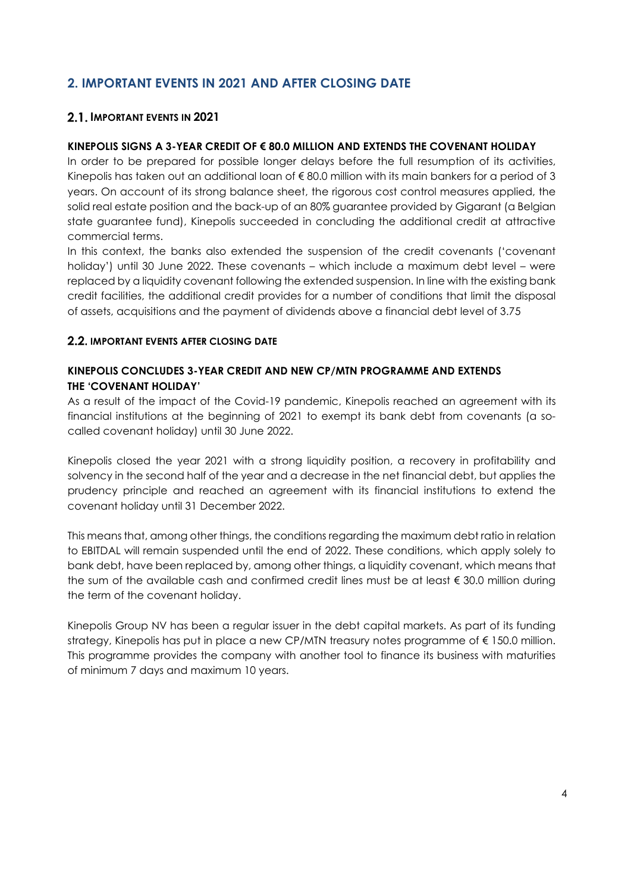# **2. IMPORTANT EVENTS IN 2021 AND AFTER CLOSING DATE**

## **2.1. IMPORTANT EVENTS IN 2021**

## **KINEPOLIS SIGNS A 3-YEAR CREDIT OF € 80.0 MILLION AND EXTENDS THE COVENANT HOLIDAY**

In order to be prepared for possible longer delays before the full resumption of its activities, Kinepolis has taken out an additional loan of  $\epsilon$  80.0 million with its main bankers for a period of 3 years. On account of its strong balance sheet, the rigorous cost control measures applied, the solid real estate position and the back-up of an 80% guarantee provided by Gigarant (a Belgian state guarantee fund), Kinepolis succeeded in concluding the additional credit at attractive commercial terms.

In this context, the banks also extended the suspension of the credit covenants ('covenant holiday') until 30 June 2022. These covenants – which include a maximum debt level – were replaced by a liquidity covenant following the extended suspension. In line with the existing bank credit facilities, the additional credit provides for a number of conditions that limit the disposal of assets, acquisitions and the payment of dividends above a financial debt level of 3.75

## **2.2. IMPORTANT EVENTS AFTER CLOSING DATE**

## **KINEPOLIS CONCLUDES 3-YEAR CREDIT AND NEW CP/MTN PROGRAMME AND EXTENDS THE 'COVENANT HOLIDAY'**

As a result of the impact of the Covid-19 pandemic, Kinepolis reached an agreement with its financial institutions at the beginning of 2021 to exempt its bank debt from covenants (a socalled covenant holiday) until 30 June 2022.

Kinepolis closed the year 2021 with a strong liquidity position, a recovery in profitability and solvency in the second half of the year and a decrease in the net financial debt, but applies the prudency principle and reached an agreement with its financial institutions to extend the covenant holiday until 31 December 2022.

This means that, among other things, the conditions regarding the maximum debt ratio in relation to EBITDAL will remain suspended until the end of 2022. These conditions, which apply solely to bank debt, have been replaced by, among other things, a liquidity covenant, which means that the sum of the available cash and confirmed credit lines must be at least  $\epsilon$  30.0 million during the term of the covenant holiday.

Kinepolis Group NV has been a regular issuer in the debt capital markets. As part of its funding strategy, Kinepolis has put in place a new CP/MTN treasury notes programme of €150.0 million. This programme provides the company with another tool to finance its business with maturities of minimum 7 days and maximum 10 years.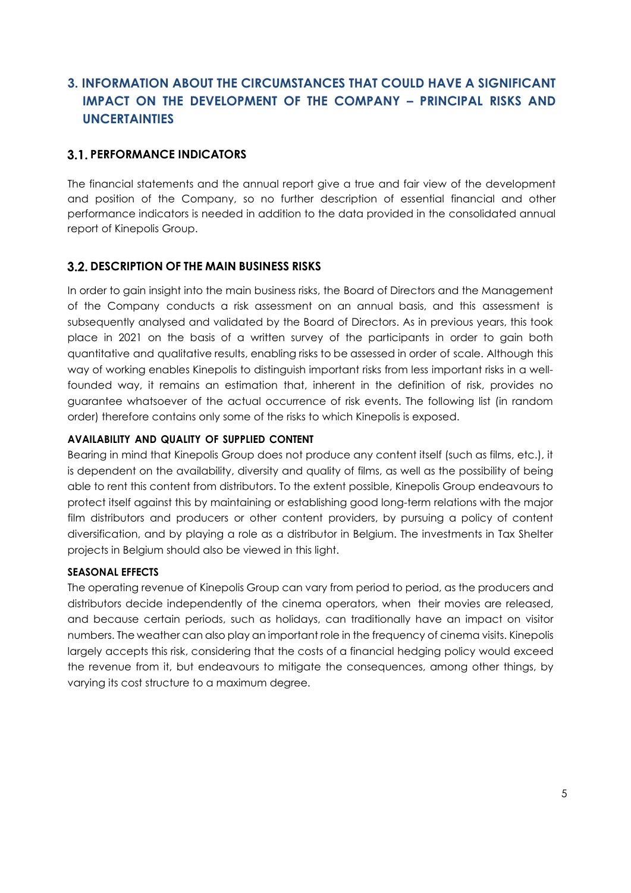# **3. INFORMATION ABOUT THE CIRCUMSTANCES THAT COULD HAVE A SIGNIFICANT IMPACT ON THE DEVELOPMENT OF THE COMPANY – PRINCIPAL RISKS AND UNCERTAINTIES**

## **PERFORMANCE INDICATORS**

The financial statements and the annual report give a true and fair view of the development and position of the Company, so no further description of essential financial and other performance indicators is needed in addition to the data provided in the consolidated annual report of Kinepolis Group.

## **DESCRIPTION OF THE MAIN BUSINESS RISKS**

In order to gain insight into the main business risks, the Board of Directors and the Management of the Company conducts a risk assessment on an annual basis, and this assessment is subsequently analysed and validated by the Board of Directors. As in previous years, this took place in 2021 on the basis of a written survey of the participants in order to gain both quantitative and qualitative results, enabling risks to be assessed in order of scale. Although this way of working enables Kinepolis to distinguish important risks from less important risks in a wellfounded way, it remains an estimation that, inherent in the definition of risk, provides no guarantee whatsoever of the actual occurrence of risk events. The following list (in random order) therefore contains only some of the risks to which Kinepolis is exposed.

### **AVAILABILITY AND QUALITY OF SUPPLIED CONTENT**

Bearing in mind that Kinepolis Group does not produce any content itself (such as films, etc.), it is dependent on the availability, diversity and quality of films, as well as the possibility of being able to rent this content from distributors. To the extent possible, Kinepolis Group endeavours to protect itself against this by maintaining or establishing good long-term relations with the major film distributors and producers or other content providers, by pursuing a policy of content diversification, and by playing a role as a distributor in Belgium. The investments in Tax Shelter projects in Belgium should also be viewed in this light.

#### **SEASONAL EFFECTS**

The operating revenue of Kinepolis Group can vary from period to period, as the producers and distributors decide independently of the cinema operators, when their movies are released, and because certain periods, such as holidays, can traditionally have an impact on visitor numbers. The weather can also play an important role in the frequency of cinema visits. Kinepolis largely accepts this risk, considering that the costs of a financial hedging policy would exceed the revenue from it, but endeavours to mitigate the consequences, among other things, by varying its cost structure to a maximum degree.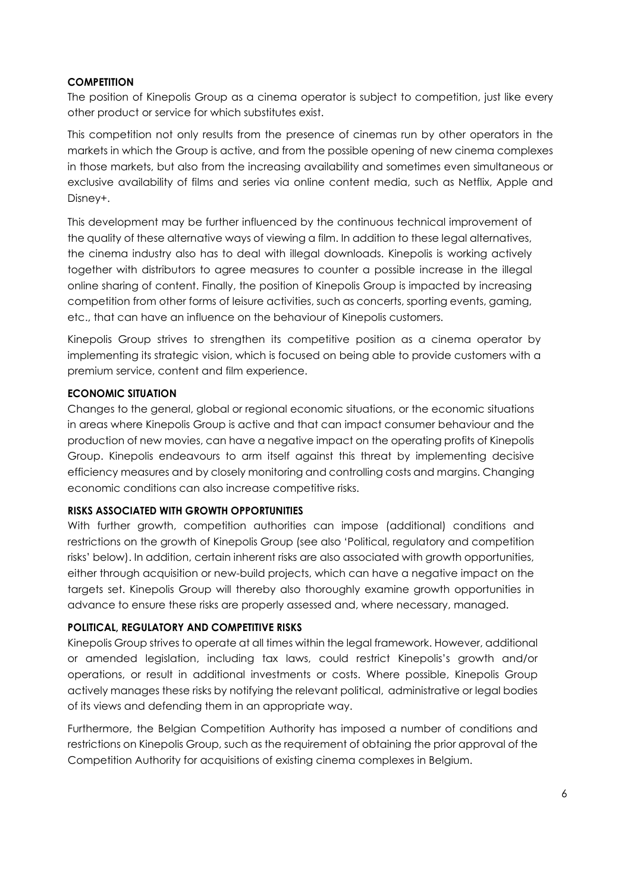### **COMPETITION**

The position of Kinepolis Group as a cinema operator is subject to competition, just like every other product or service for which substitutes exist.

This competition not only results from the presence of cinemas run by other operators in the markets in which the Group is active, and from the possible opening of new cinema complexes in those markets, but also from the increasing availability and sometimes even simultaneous or exclusive availability of films and series via online content media, such as Netflix, Apple and Disney+.

This development may be further influenced by the continuous technical improvement of the quality of these alternative ways of viewing a film. In addition to these legal alternatives, the cinema industry also has to deal with illegal downloads. Kinepolis is working actively together with distributors to agree measures to counter a possible increase in the illegal online sharing of content. Finally, the position of Kinepolis Group is impacted by increasing competition from other forms of leisure activities, such as concerts, sporting events, gaming, etc., that can have an influence on the behaviour of Kinepolis customers.

Kinepolis Group strives to strengthen its competitive position as a cinema operator by implementing its strategic vision, which is focused on being able to provide customers with a premium service, content and film experience.

#### **ECONOMIC SITUATION**

Changes to the general, global or regional economic situations, or the economic situations in areas where Kinepolis Group is active and that can impact consumer behaviour and the production of new movies, can have a negative impact on the operating profits of Kinepolis Group. Kinepolis endeavours to arm itself against this threat by implementing decisive efficiency measures and by closely monitoring and controlling costs and margins. Changing economic conditions can also increase competitive risks.

#### **RISKS ASSOCIATED WITH GROWTH OPPORTUNITIES**

With further growth, competition authorities can impose (additional) conditions and restrictions on the growth of Kinepolis Group (see also 'Political, regulatory and competition risks' below). In addition, certain inherent risks are also associated with growth opportunities, either through acquisition or new-build projects, which can have a negative impact on the targets set. Kinepolis Group will thereby also thoroughly examine growth opportunities in advance to ensure these risks are properly assessed and, where necessary, managed.

#### **POLITICAL, REGULATORY AND COMPETITIVE RISKS**

Kinepolis Group strives to operate at all times within the legal framework. However, additional or amended legislation, including tax laws, could restrict Kinepolis's growth and/or operations, or result in additional investments or costs. Where possible, Kinepolis Group actively manages these risks by notifying the relevant political, administrative or legal bodies of its views and defending them in an appropriate way.

Furthermore, the Belgian Competition Authority has imposed a number of conditions and restrictions on Kinepolis Group, such as the requirement of obtaining the prior approval of the Competition Authority for acquisitions of existing cinema complexes in Belgium.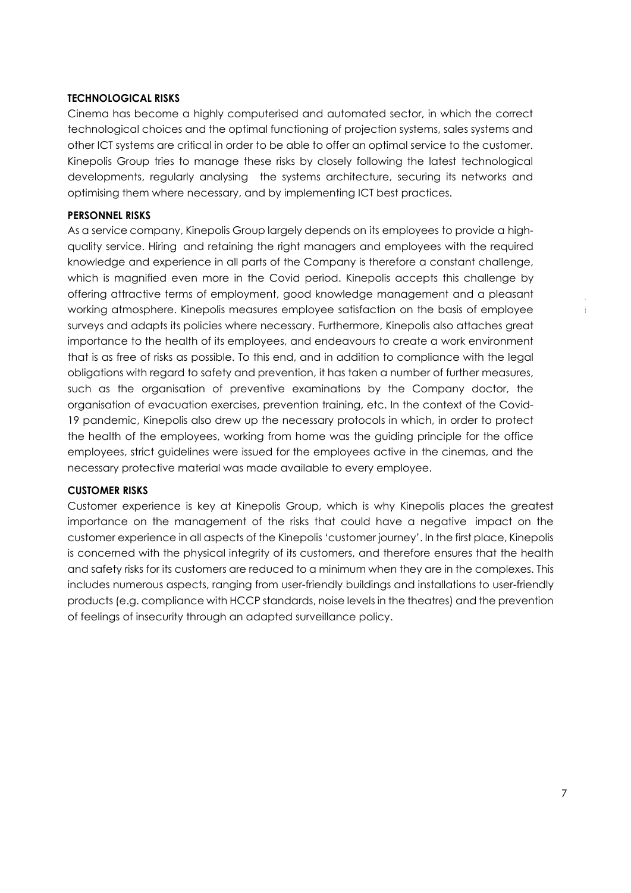#### **TECHNOLOGICAL RISKS**

Cinema has become a highly computerised and automated sector, in which the correct technological choices and the optimal functioning of projection systems, sales systems and other ICT systems are critical in order to be able to offer an optimal service to the customer. Kinepolis Group tries to manage these risks by closely following the latest technological developments, regularly analysing the systems architecture, securing its networks and optimising them where necessary, and by implementing ICT best practices.

#### **PERSONNEL RISKS**

As a service company, Kinepolis Group largely depends on its employees to provide a highquality service. Hiring and retaining the right managers and employees with the required knowledge and experience in all parts of the Company is therefore a constant challenge, which is magnified even more in the Covid period. Kinepolis accepts this challenge by offering attractive terms of employment, good knowledge management and a pleasant working atmosphere. Kinepolis measures employee satisfaction on the basis of employee surveys and adapts its policies where necessary. Furthermore, Kinepolis also attaches great importance to the health of its employees, and endeavours to create a work environment that is as free of risks as possible. To this end, and in addition to compliance with the legal obligations with regard to safety and prevention, it has taken a number of further measures, such as the organisation of preventive examinations by the Company doctor, the organisation of evacuation exercises, prevention training, etc. In the context of the Covid-19 pandemic, Kinepolis also drew up the necessary protocols in which, in order to protect the health of the employees, working from home was the guiding principle for the office employees, strict guidelines were issued for the employees active in the cinemas, and the necessary protective material was made available to every employee.

#### **CUSTOMER RISKS**

Customer experience is key at Kinepolis Group, which is why Kinepolis places the greatest importance on the management of the risks that could have a negative impact on the customer experience in all aspects of the Kinepolis 'customer journey'. In the first place, Kinepolis is concerned with the physical integrity of its customers, and therefore ensures that the health and safety risks for its customers are reduced to a minimum when they are in the complexes. This includes numerous aspects, ranging from user-friendly buildings and installations to user-friendly products (e.g. compliance with HCCP standards, noise levels in the theatres) and the prevention of feelings of insecurity through an adapted surveillance policy.

 $\ddot{\dagger}$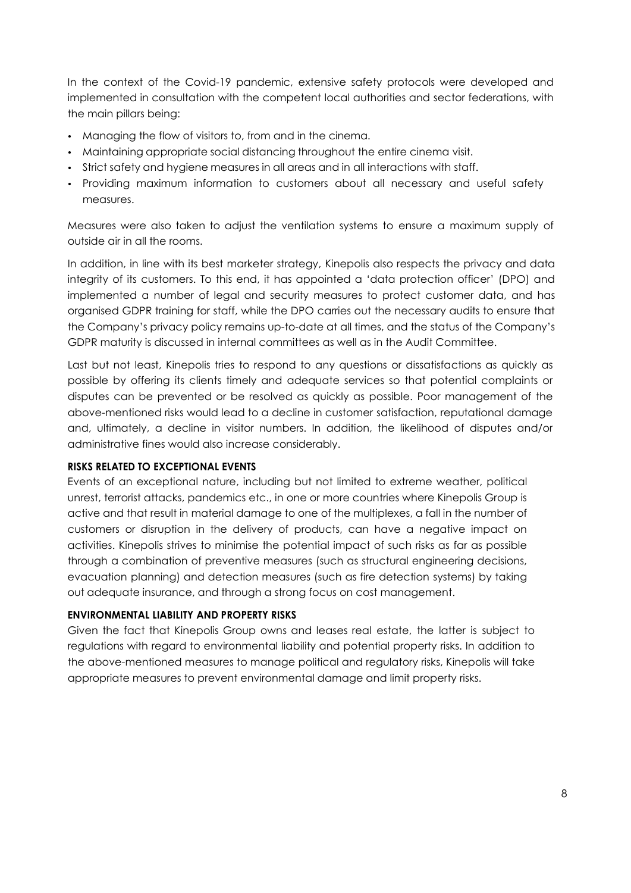In the context of the Covid-19 pandemic, extensive safety protocols were developed and implemented in consultation with the competent local authorities and sector federations, with the main pillars being:

- Managing the flow of visitors to, from and in the cinema.
- Maintaining appropriate social distancing throughout the entire cinema visit.
- Strict safety and hygiene measures in all areas and in all interactions with staff.
- Providing maximum information to customers about all necessary and useful safety measures.

Measures were also taken to adjust the ventilation systems to ensure a maximum supply of outside air in all the rooms.

In addition, in line with its best marketer strategy, Kinepolis also respects the privacy and data integrity of its customers. To this end, it has appointed a 'data protection officer' (DPO) and implemented a number of legal and security measures to protect customer data, and has organised GDPR training for staff, while the DPO carries out the necessary audits to ensure that the Company's privacy policy remains up-to-date at all times, and the status of the Company's GDPR maturity is discussed in internal committees as well as in the Audit Committee.

Last but not least, Kinepolis tries to respond to any questions or dissatisfactions as quickly as possible by offering its clients timely and adequate services so that potential complaints or disputes can be prevented or be resolved as quickly as possible. Poor management of the above-mentioned risks would lead to a decline in customer satisfaction, reputational damage and, ultimately, a decline in visitor numbers. In addition, the likelihood of disputes and/or administrative fines would also increase considerably.

### **RISKS RELATED TO EXCEPTIONAL EVENTS**

Events of an exceptional nature, including but not limited to extreme weather, political unrest, terrorist attacks, pandemics etc., in one or more countries where Kinepolis Group is active and that result in material damage to one of the multiplexes, a fall in the number of customers or disruption in the delivery of products, can have a negative impact on activities. Kinepolis strives to minimise the potential impact of such risks as far as possible through a combination of preventive measures (such as structural engineering decisions, evacuation planning) and detection measures (such as fire detection systems) by taking out adequate insurance, and through a strong focus on cost management.

### **ENVIRONMENTAL LIABILITY AND PROPERTY RISKS**

Given the fact that Kinepolis Group owns and leases real estate, the latter is subject to regulations with regard to environmental liability and potential property risks. In addition to the above-mentioned measures to manage political and regulatory risks, Kinepolis will take appropriate measures to prevent environmental damage and limit property risks.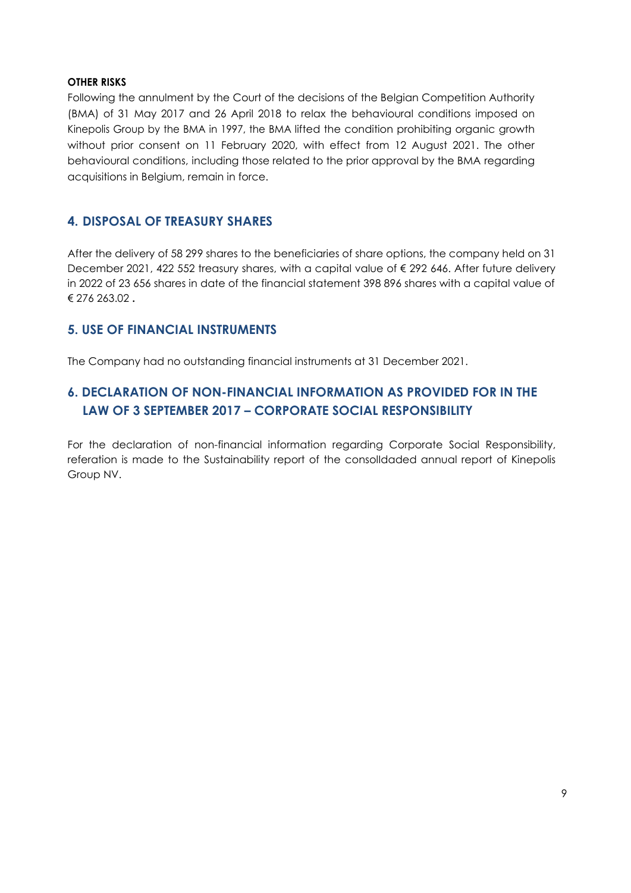### **OTHER RISKS**

Following the annulment by the Court of the decisions of the Belgian Competition Authority (BMA) of 31 May 2017 and 26 April 2018 to relax the behavioural conditions imposed on Kinepolis Group by the BMA in 1997, the BMA lifted the condition prohibiting organic growth without prior consent on 11 February 2020, with effect from 12 August 2021. The other behavioural conditions, including those related to the prior approval by the BMA regarding acquisitions in Belgium, remain in force.

## **4. DISPOSAL OF TREASURY SHARES**

After the delivery of 58 299 shares to the beneficiaries of share options, the company held on 31 December 2021, 422 552 treasury shares, with a capital value of € 292 646. After future delivery in 2022 of 23 656 shares in date of the financial statement 398 896 shares with a capital value of € 276 263.02 **.**

## **5. USE OF FINANCIAL INSTRUMENTS**

The Company had no outstanding financial instruments at 31 December 2021.

# **6. DECLARATION OF NON-FINANCIAL INFORMATION AS PROVIDED FOR IN THE LAW OF 3 SEPTEMBER 2017 – CORPORATE SOCIAL RESPONSIBILITY**

For the declaration of non-financial information regarding Corporate Social Responsibility, referation is made to the Sustainability report of the consolIdaded annual report of Kinepolis Group NV.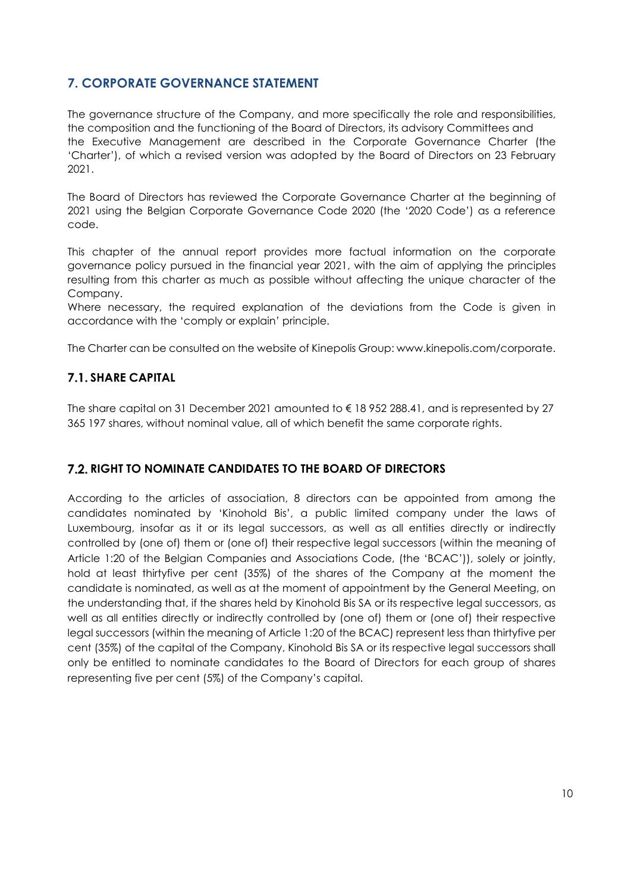# **7. CORPORATE GOVERNANCE STATEMENT**

The governance structure of the Company, and more specifically the role and responsibilities, the composition and the functioning of the Board of Directors, its advisory Committees and the Executive Management are described in the Corporate Governance Charter (the 'Charter'), of which a revised version was adopted by the Board of Directors on 23 February 2021.

The Board of Directors has reviewed the Corporate Governance Charter at the beginning of 2021 using the Belgian Corporate Governance Code 2020 (the '2020 Code') as a reference code.

This chapter of the annual report provides more factual information on the corporate governance policy pursued in the financial year 2021, with the aim of applying the principles resulting from this charter as much as possible without affecting the unique character of the Company.

Where necessary, the required explanation of the deviations from the Code is given in accordance with the 'comply or explain' principle.

The Charter can be consulted on the website of Kinepolis Group: www.kinepolis.com/corporate.

## **7.1. SHARE CAPITAL**

The share capital on 31 December 2021 amounted to € 18 952 288.41, and is represented by 27 365 197 shares, without nominal value, all of which benefit the same corporate rights.

## **RIGHT TO NOMINATE CANDIDATES TO THE BOARD OF DIRECTORS**

According to the articles of association, 8 directors can be appointed from among the candidates nominated by 'Kinohold Bis', a public limited company under the laws of Luxembourg, insofar as it or its legal successors, as well as all entities directly or indirectly controlled by (one of) them or (one of) their respective legal successors (within the meaning of Article 1:20 of the Belgian Companies and Associations Code, (the 'BCAC')), solely or jointly, hold at least thirtyfive per cent (35%) of the shares of the Company at the moment the candidate is nominated, as well as at the moment of appointment by the General Meeting, on the understanding that, if the shares held by Kinohold Bis SA or its respective legal successors, as well as all entities directly or indirectly controlled by (one of) them or (one of) their respective legal successors (within the meaning of Article 1:20 of the BCAC) represent less than thirtyfive per cent (35%) of the capital of the Company, Kinohold Bis SA or its respective legal successors shall only be entitled to nominate candidates to the Board of Directors for each group of shares representing five per cent (5%) of the Company's capital.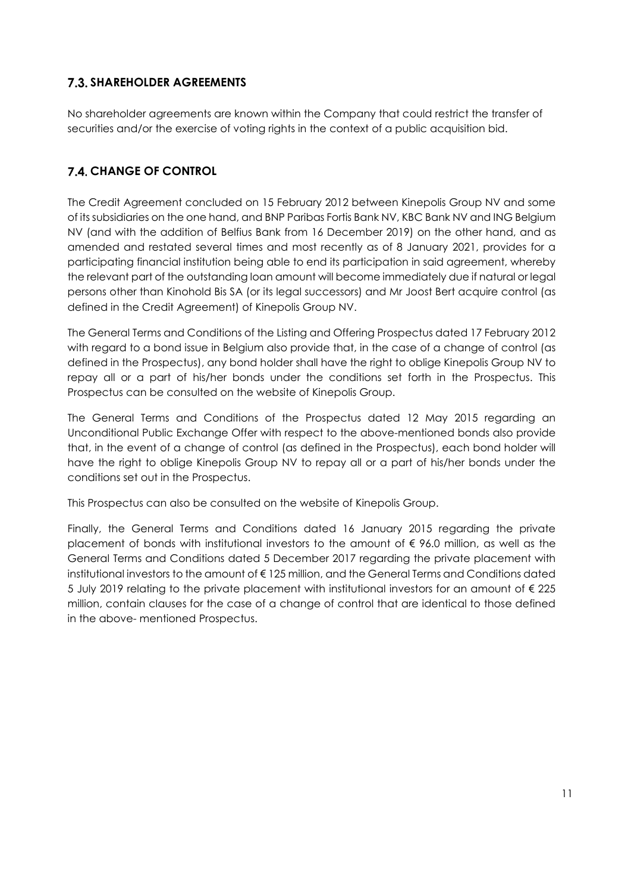# **SHAREHOLDER AGREEMENTS**

No shareholder agreements are known within the Company that could restrict the transfer of securities and/or the exercise of voting rights in the context of a public acquisition bid.

# **7.4. CHANGE OF CONTROL**

The Credit Agreement concluded on 15 February 2012 between Kinepolis Group NV and some of its subsidiaries on the one hand, and BNP Paribas Fortis Bank NV, KBC Bank NV and ING Belgium NV (and with the addition of Belfius Bank from 16 December 2019) on the other hand, and as amended and restated several times and most recently as of 8 January 2021, provides for a participating financial institution being able to end its participation in said agreement, whereby the relevant part of the outstanding loan amount will become immediately due if natural or legal persons other than Kinohold Bis SA (or its legal successors) and Mr Joost Bert acquire control (as defined in the Credit Agreement) of Kinepolis Group NV.

The General Terms and Conditions of the Listing and Offering Prospectus dated 17 February 2012 with regard to a bond issue in Belgium also provide that, in the case of a change of control (as defined in the Prospectus), any bond holder shall have the right to oblige Kinepolis Group NV to repay all or a part of his/her bonds under the conditions set forth in the Prospectus. This Prospectus can be consulted on the website of Kinepolis Group.

The General Terms and Conditions of the Prospectus dated 12 May 2015 regarding an Unconditional Public Exchange Offer with respect to the above-mentioned bonds also provide that, in the event of a change of control (as defined in the Prospectus), each bond holder will have the right to oblige Kinepolis Group NV to repay all or a part of his/her bonds under the conditions set out in the Prospectus.

This Prospectus can also be consulted on the website of Kinepolis Group.

Finally, the General Terms and Conditions dated 16 January 2015 regarding the private placement of bonds with institutional investors to the amount of € 96.0 million, as well as the General Terms and Conditions dated 5 December 2017 regarding the private placement with institutional investors to the amount of € 125 million, and the General Terms and Conditions dated 5 July 2019 relating to the private placement with institutional investors for an amount of € 225 million, contain clauses for the case of a change of control that are identical to those defined in the above- mentioned Prospectus.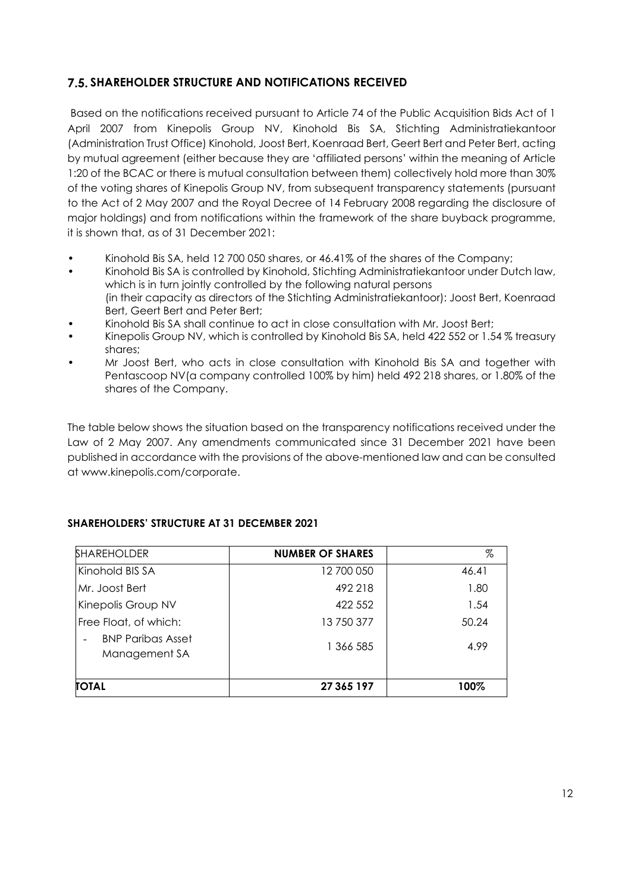## **SHAREHOLDER STRUCTURE AND NOTIFICATIONS RECEIVED**

Based on the notifications received pursuant to Article 74 of the Public Acquisition Bids Act of 1 April 2007 from Kinepolis Group NV, Kinohold Bis SA, Stichting Administratiekantoor (Administration Trust Office) Kinohold, Joost Bert, Koenraad Bert, Geert Bert and Peter Bert, acting by mutual agreement (either because they are 'affiliated persons' within the meaning of Article 1:20 of the BCAC or there is mutual consultation between them) collectively hold more than 30% of the voting shares of Kinepolis Group NV, from subsequent transparency statements (pursuant to the Act of 2 May 2007 and the Royal Decree of 14 February 2008 regarding the disclosure of major holdings) and from notifications within the framework of the share buyback programme, it is shown that, as of 31 December 2021:

- Kinohold Bis SA, held 12 700 050 shares, or 46.41% of the shares of the Company;
- Kinohold Bis SA is controlled by Kinohold, Stichting Administratiekantoor under Dutch law, which is in turn jointly controlled by the following natural persons (in their capacity as directors of the Stichting Administratiekantoor): Joost Bert, Koenraad Bert, Geert Bert and Peter Bert;
- Kinohold Bis SA shall continue to act in close consultation with Mr. Joost Bert;
- Kinepolis Group NV, which is controlled by Kinohold Bis SA, held 422 552 or 1.54 % treasury shares;
- Mr Joost Bert, who acts in close consultation with Kinohold Bis SA and together with Pentascoop NV(a company controlled 100% by him) held 492 218 shares, or 1.80% of the shares of the Company.

The table below shows the situation based on the transparency notifications received under the Law of 2 May 2007. Any amendments communicated since 31 December 2021 have been published in accordance with the provisions of the above-mentioned law and can be consulted at www.kinepolis.com/corporate.

| <b>SHAREHOLDER</b>                        | <b>NUMBER OF SHARES</b> | %     |
|-------------------------------------------|-------------------------|-------|
| Kinohold BIS SA                           | 12 700 050              | 46.41 |
| Mr. Joost Bert                            | 492 218                 | 1.80  |
| Kinepolis Group NV                        | 422 552                 | 1.54  |
| Free Float, of which:                     | 13 750 377              | 50.24 |
| <b>BNP Paribas Asset</b><br>Management SA | 1 366 585               | 4.99  |
| <b>TOTAL</b>                              | 27 365 197              | 100%  |

### **SHAREHOLDERS' STRUCTURE AT 31 DECEMBER 2021**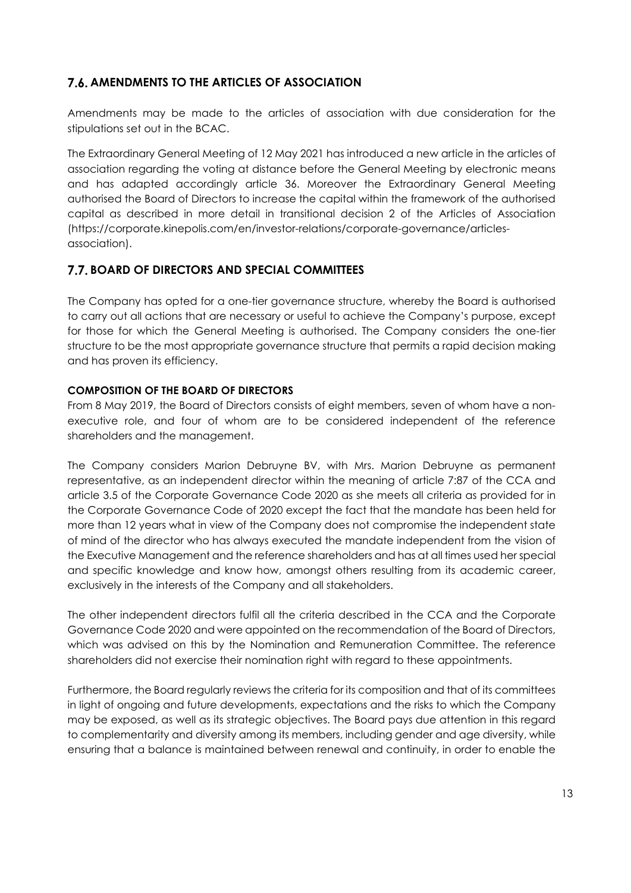# **7.6. AMENDMENTS TO THE ARTICLES OF ASSOCIATION**

Amendments may be made to the articles of association with due consideration for the stipulations set out in the BCAC.

The Extraordinary General Meeting of 12 May 2021 has introduced a new article in the articles of association regarding the voting at distance before the General Meeting by electronic means and has adapted accordingly article 36. Moreover the Extraordinary General Meeting authorised the Board of Directors to increase the capital within the framework of the authorised capital as described in more detail in transitional decision 2 of the Articles of Association (https://corporate.kinepolis.com/en/investor-relations/corporate-governance/articlesassociation).

# **BOARD OF DIRECTORS AND SPECIAL COMMITTEES**

The Company has opted for a one-tier governance structure, whereby the Board is authorised to carry out all actions that are necessary or useful to achieve the Company's purpose, except for those for which the General Meeting is authorised. The Company considers the one-tier structure to be the most appropriate governance structure that permits a rapid decision making and has proven its efficiency.

## **COMPOSITION OF THE BOARD OF DIRECTORS**

From 8 May 2019, the Board of Directors consists of eight members, seven of whom have a nonexecutive role, and four of whom are to be considered independent of the reference shareholders and the management.

The Company considers Marion Debruyne BV, with Mrs. Marion Debruyne as permanent representative, as an independent director within the meaning of article 7:87 of the CCA and article 3.5 of the Corporate Governance Code 2020 as she meets all criteria as provided for in the Corporate Governance Code of 2020 except the fact that the mandate has been held for more than 12 years what in view of the Company does not compromise the independent state of mind of the director who has always executed the mandate independent from the vision of the Executive Management and the reference shareholders and has at all times used her special and specific knowledge and know how, amongst others resulting from its academic career, exclusively in the interests of the Company and all stakeholders.

The other independent directors fulfil all the criteria described in the CCA and the Corporate Governance Code 2020 and were appointed on the recommendation of the Board of Directors, which was advised on this by the Nomination and Remuneration Committee. The reference shareholders did not exercise their nomination right with regard to these appointments.

Furthermore, the Board regularly reviews the criteria for its composition and that of its committees in light of ongoing and future developments, expectations and the risks to which the Company may be exposed, as well as its strategic objectives. The Board pays due attention in this regard to complementarity and diversity among its members, including gender and age diversity, while ensuring that a balance is maintained between renewal and continuity, in order to enable the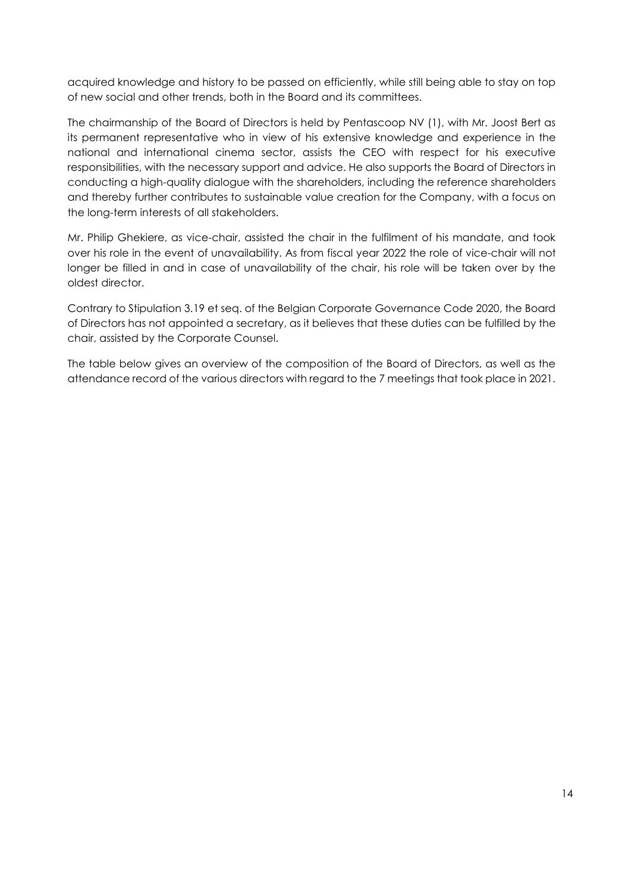acquired knowledge and history to be passed on efficiently, while still being able to stay on top of new social and other trends, both in the Board and its committees.

The chairmanship of the Board of Directors is held by Pentascoop NV (1), with Mr. Joost Bert as its permanent representative who in view of his extensive knowledge and experience in the national and international cinema sector, assists the CEO with respect for his executive responsibilities, with the necessary support and advice. He also supports the Board of Directors in conducting a high-quality dialogue with the shareholders, including the reference shareholders and thereby further contributes to sustainable value creation for the Company, with a focus on the long-term interests of all stakeholders.

Mr. Philip Ghekiere, as vice-chair, assisted the chair in the fulfilment of his mandate, and took over his role in the event of unavailability. As from fiscal year 2022 the role of vice-chair will not longer be filled in and in case of unavailability of the chair, his role will be taken over by the oldest director.

Contrary to Stipulation 3.19 et seq. of the Belgian Corporate Governance Code 2020, the Board of Directors has not appointed a secretary, as it believes that these duties can be fulfilled by the chair, assisted by the Corporate Counsel.

The table below gives an overview of the composition of the Board of Directors, as well as the attendance record of the various directors with regard to the 7 meetings that took place in 2021.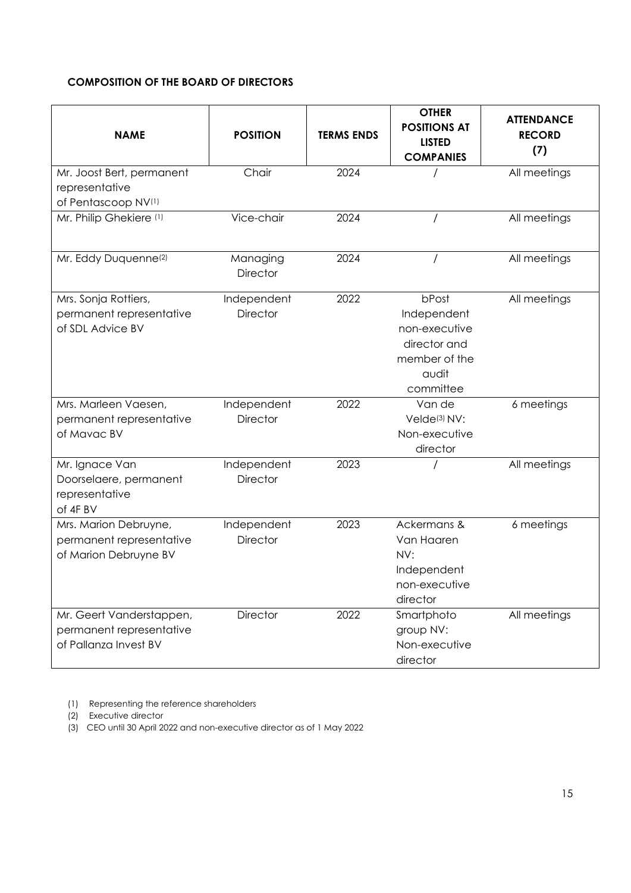## **COMPOSITION OF THE BOARD OF DIRECTORS**

| <b>NAME</b>                                                                   | <b>POSITION</b>                | <b>TERMS ENDS</b> | <b>OTHER</b><br><b>POSITIONS AT</b><br><b>LISTED</b><br><b>COMPANIES</b>                     | <b>ATTENDANCE</b><br><b>RECORD</b><br>(7) |
|-------------------------------------------------------------------------------|--------------------------------|-------------------|----------------------------------------------------------------------------------------------|-------------------------------------------|
| Mr. Joost Bert, permanent<br>representative<br>of Pentascoop NV(1)            | Chair                          | 2024              |                                                                                              | All meetings                              |
| Mr. Philip Ghekiere (1)                                                       | Vice-chair                     | 2024              |                                                                                              | All meetings                              |
| Mr. Eddy Duquenne <sup>(2)</sup>                                              | Managing<br><b>Director</b>    | 2024              |                                                                                              | All meetings                              |
| Mrs. Sonja Rottiers,<br>permanent representative<br>of SDL Advice BV          | Independent<br><b>Director</b> | 2022              | bPost<br>Independent<br>non-executive<br>director and<br>member of the<br>audit<br>committee | All meetings                              |
| Mrs. Marleen Vaesen,<br>permanent representative<br>of Mavac BV               | Independent<br><b>Director</b> | 2022              | Van de<br>Velde <sup>(3)</sup> NV:<br>Non-executive<br>director                              | 6 meetings                                |
| Mr. Ignace Van<br>Doorselaere, permanent<br>representative<br>of 4F BV        | Independent<br>Director        | 2023              |                                                                                              | All meetings                              |
| Mrs. Marion Debruyne,<br>permanent representative<br>of Marion Debruyne BV    | Independent<br>Director        | 2023              | Ackermans &<br>Van Haaren<br>NV:<br>Independent<br>non-executive<br>director                 | 6 meetings                                |
| Mr. Geert Vanderstappen,<br>permanent representative<br>of Pallanza Invest BV | <b>Director</b>                | 2022              | Smartphoto<br>group NV:<br>Non-executive<br>director                                         | All meetings                              |

(1) Representing the reference shareholders

(2) Executive director

(3) CEO until 30 April 2022 and non-executive director as of 1 May 2022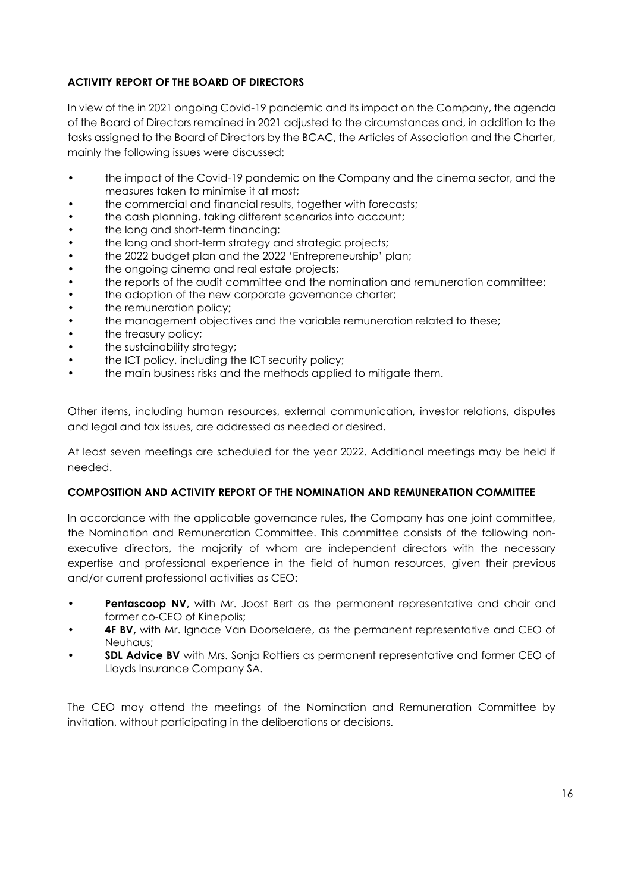## **ACTIVITY REPORT OF THE BOARD OF DIRECTORS**

In view of the in 2021 ongoing Covid-19 pandemic and its impact on the Company, the agenda of the Board of Directors remained in 2021 adjusted to the circumstances and, in addition to the tasks assigned to the Board of Directors by the BCAC, the Articles of Association and the Charter, mainly the following issues were discussed:

- the impact of the Covid-19 pandemic on the Company and the cinema sector, and the measures taken to minimise it at most;
- the commercial and financial results, together with forecasts;
- the cash planning, taking different scenarios into account;
- the long and short-term financing;
- the long and short-term strategy and strategic projects;
- the 2022 budget plan and the 2022 'Entrepreneurship' plan;
- the ongoing cinema and real estate projects;
- the reports of the audit committee and the nomination and remuneration committee;
- the adoption of the new corporate governance charter;
- the remuneration policy;
- the management objectives and the variable remuneration related to these;
- the treasury policy;
- the sustainability strategy;
- the ICT policy, including the ICT security policy;
- the main business risks and the methods applied to mitigate them.

Other items, including human resources, external communication, investor relations, disputes and legal and tax issues, are addressed as needed or desired.

At least seven meetings are scheduled for the year 2022. Additional meetings may be held if needed.

#### **COMPOSITION AND ACTIVITY REPORT OF THE NOMINATION AND REMUNERATION COMMITTEE**

In accordance with the applicable governance rules, the Company has one joint committee, the Nomination and Remuneration Committee. This committee consists of the following nonexecutive directors, the majority of whom are independent directors with the necessary expertise and professional experience in the field of human resources, given their previous and/or current professional activities as CEO:

- **Pentascoop NV,** with Mr. Joost Bert as the permanent representative and chair and former co-CEO of Kinepolis;
- **4F BV,** with Mr. Ignace Van Doorselaere, as the permanent representative and CEO of Neuhaus;
- **SDL Advice BV** with Mrs. Sonja Rottiers as permanent representative and former CEO of Lloyds Insurance Company SA.

The CEO may attend the meetings of the Nomination and Remuneration Committee by invitation, without participating in the deliberations or decisions.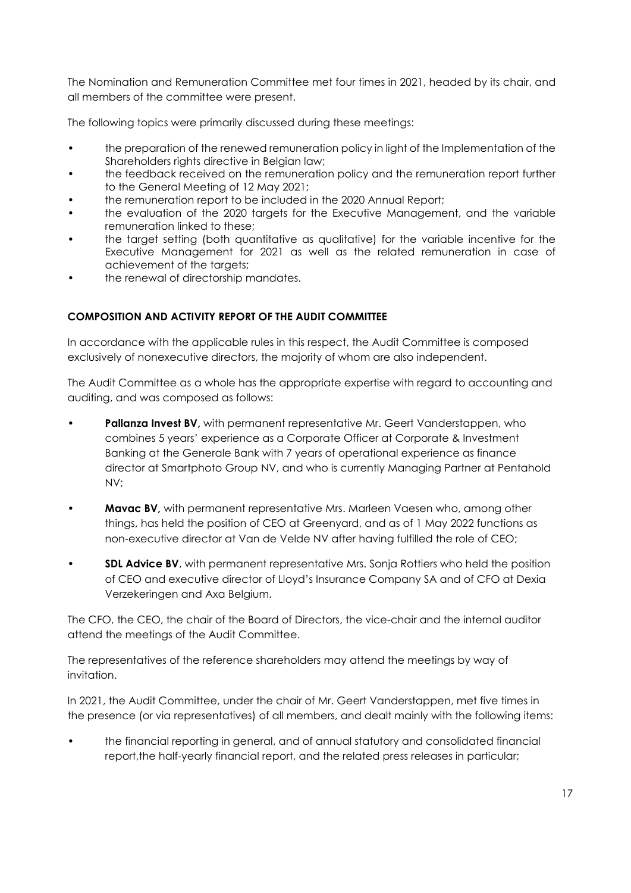The Nomination and Remuneration Committee met four times in 2021, headed by its chair, and all members of the committee were present.

The following topics were primarily discussed during these meetings:

- the preparation of the renewed remuneration policy in light of the Implementation of the Shareholders rights directive in Belgian law;
- the feedback received on the remuneration policy and the remuneration report further to the General Meeting of 12 May 2021;
- the remuneration report to be included in the 2020 Annual Report;
- the evaluation of the 2020 targets for the Executive Management, and the variable remuneration linked to these;
- the target setting (both quantitative as qualitative) for the variable incentive for the Executive Management for 2021 as well as the related remuneration in case of achievement of the targets;
- the renewal of directorship mandates.

## **COMPOSITION AND ACTIVITY REPORT OF THE AUDIT COMMITTEE**

In accordance with the applicable rules in this respect, the Audit Committee is composed exclusively of nonexecutive directors, the majority of whom are also independent.

The Audit Committee as a whole has the appropriate expertise with regard to accounting and auditing, and was composed as follows:

- **Pallanza Invest BV**, with permanent representative Mr. Geert Vanderstappen, who combines 5 years' experience as a Corporate Officer at Corporate & Investment Banking at the Generale Bank with 7 years of operational experience as finance director at Smartphoto Group NV, and who is currently Managing Partner at Pentahold NV;
- **Mavac BV**, with permanent representative Mrs. Marleen Vaesen who, among other things, has held the position of CEO at Greenyard, and as of 1 May 2022 functions as non-executive director at Van de Velde NV after having fulfilled the role of CEO;
- **SDL Advice BV**, with permanent representative Mrs. Sonja Rottiers who held the position of CEO and executive director of Lloyd's Insurance Company SA and of CFO at Dexia Verzekeringen and Axa Belgium.

The CFO, the CEO, the chair of the Board of Directors, the vice-chair and the internal auditor attend the meetings of the Audit Committee.

The representatives of the reference shareholders may attend the meetings by way of invitation.

In 2021, the Audit Committee, under the chair of Mr. Geert Vanderstappen, met five times in the presence (or via representatives) of all members, and dealt mainly with the following items:

• the financial reporting in general, and of annual statutory and consolidated financial report, the half-yearly financial report, and the related press releases in particular;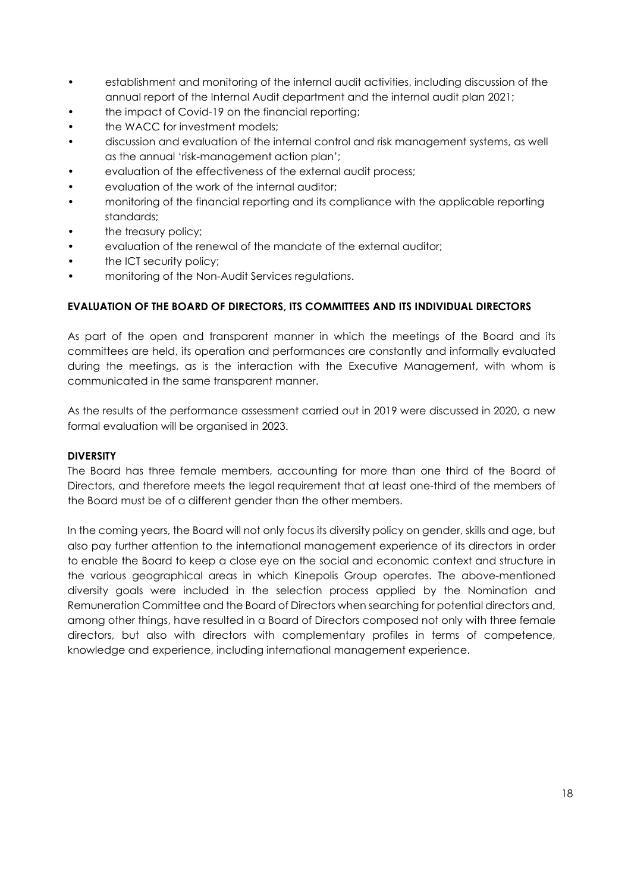- establishment and monitoring of the internal audit activities, including discussion of the annual report of the Internal Audit department and the internal audit plan 2021;
- the impact of Covid-19 on the financial reporting;
- the WACC for investment models;
- discussion and evaluation of the internal control and risk management systems, as well as the annual 'risk-management action plan';
- evaluation of the effectiveness of the external audit process;
- evaluation of the work of the internal auditor;
- monitoring of the financial reporting and its compliance with the applicable reporting standards;
- the treasury policy;
- evaluation of the renewal of the mandate of the external auditor;
- the ICT security policy;
- monitoring of the Non-Audit Services regulations.

### **EVALUATION OF THE BOARD OF DIRECTORS, ITS COMMITTEES AND ITS INDIVIDUAL DIRECTORS**

As part of the open and transparent manner in which the meetings of the Board and its committees are held, its operation and performances are constantly and informally evaluated during the meetings, as is the interaction with the Executive Management, with whom is communicated in the same transparent manner.

As the results of the performance assessment carried out in 2019 were discussed in 2020, a new formal evaluation will be organised in 2023.

#### **DIVERSITY**

The Board has three female members, accounting for more than one third of the Board of Directors, and therefore meets the legal requirement that at least one-third of the members of the Board must be of a different gender than the other members.

In the coming years, the Board will not only focus its diversity policy on gender, skills and age, but also pay further attention to the international management experience of its directors in order to enable the Board to keep a close eye on the social and economic context and structure in the various geographical areas in which Kinepolis Group operates. The above-mentioned diversity goals were included in the selection process applied by the Nomination and Remuneration Committee and the Board of Directors when searching for potential directors and, among other things, have resulted in a Board of Directors composed not only with three female directors, but also with directors with complementary profiles in terms of competence, knowledge and experience, including international management experience.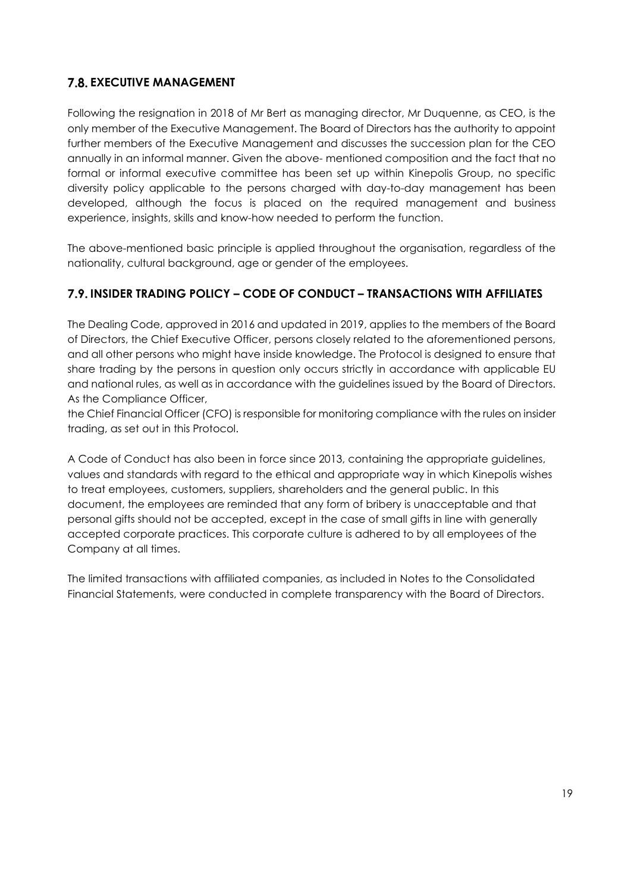# **7.8. EXECUTIVE MANAGEMENT**

Following the resignation in 2018 of Mr Bert as managing director, Mr Duquenne, as CEO, is the only member of the Executive Management. The Board of Directors has the authority to appoint further members of the Executive Management and discusses the succession plan for the CEO annually in an informal manner. Given the above- mentioned composition and the fact that no formal or informal executive committee has been set up within Kinepolis Group, no specific diversity policy applicable to the persons charged with day-to-day management has been developed, although the focus is placed on the required management and business experience, insights, skills and know-how needed to perform the function.

The above-mentioned basic principle is applied throughout the organisation, regardless of the nationality, cultural background, age or gender of the employees.

# **INSIDER TRADING POLICY – CODE OF CONDUCT – TRANSACTIONS WITH AFFILIATES**

The Dealing Code, approved in 2016 and updated in 2019, applies to the members of the Board of Directors, the Chief Executive Officer, persons closely related to the aforementioned persons, and all other persons who might have inside knowledge. The Protocol is designed to ensure that share trading by the persons in question only occurs strictly in accordance with applicable EU and national rules, as well as in accordance with the guidelines issued by the Board of Directors. As the Compliance Officer,

the Chief Financial Officer (CFO) is responsible for monitoring compliance with the rules on insider trading, as set out in this Protocol.

A Code of Conduct has also been in force since 2013, containing the appropriate guidelines, values and standards with regard to the ethical and appropriate way in which Kinepolis wishes to treat employees, customers, suppliers, shareholders and the general public. In this document, the employees are reminded that any form of bribery is unacceptable and that personal gifts should not be accepted, except in the case of small gifts in line with generally accepted corporate practices. This corporate culture is adhered to by all employees of the Company at all times.

The limited transactions with affiliated companies, as included in Notes to the Consolidated Financial Statements, were conducted in complete transparency with the Board of Directors.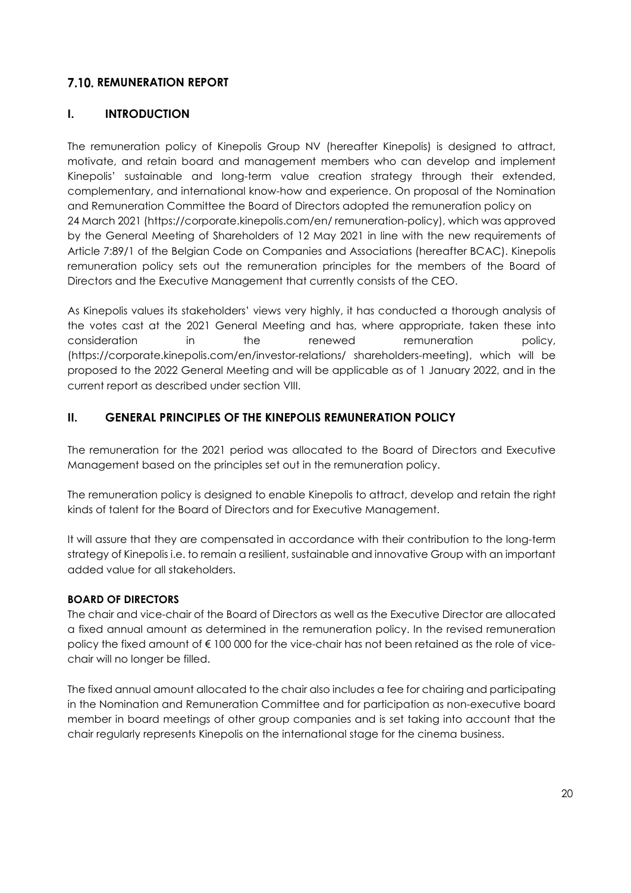## **7.10. REMUNERATION REPORT**

## **I. INTRODUCTION**

The remuneration policy of Kinepolis Group NV (hereafter Kinepolis) is designed to attract, motivate, and retain board and management members who can develop and implement Kinepolis' sustainable and long-term value creation strategy through their extended, complementary, and international know-how and experience. On proposal of the Nomination and Remuneration Committee the Board of Directors adopted the remuneration policy on 24 March 2021 (https://corporate.kinepolis.com/en/ remuneration-policy), which was approved by the General Meeting of Shareholders of 12 May 2021 in line with the new requirements of Article 7:89/1 of the Belgian Code on Companies and Associations (hereafter BCAC). Kinepolis remuneration policy sets out the remuneration principles for the members of the Board of Directors and the Executive Management that currently consists of the CEO.

As Kinepolis values its stakeholders' views very highly, it has conducted a thorough analysis of the votes cast at the 2021 General Meeting and has, where appropriate, taken these into consideration in the renewed remuneration policy, (https://corporate.kinepolis.com/en/investor-relations/ shareholders-meeting), which will be proposed to the 2022 General Meeting and will be applicable as of 1 January 2022, and in the current report as described under section VIII.

## **II. GENERAL PRINCIPLES OF THE KINEPOLIS REMUNERATION POLICY**

The remuneration for the 2021 period was allocated to the Board of Directors and Executive Management based on the principles set out in the remuneration policy.

The remuneration policy is designed to enable Kinepolis to attract, develop and retain the right kinds of talent for the Board of Directors and for Executive Management.

It will assure that they are compensated in accordance with their contribution to the long-term strategy of Kinepolis i.e. to remain a resilient, sustainable and innovative Group with an important added value for all stakeholders.

### **BOARD OF DIRECTORS**

The chair and vice-chair of the Board of Directors as well as the Executive Director are allocated a fixed annual amount as determined in the remuneration policy. In the revised remuneration policy the fixed amount of € 100 000 for the vice-chair has not been retained as the role of vicechair will no longer be filled.

The fixed annual amount allocated to the chair also includes a fee for chairing and participating in the Nomination and Remuneration Committee and for participation as non-executive board member in board meetings of other group companies and is set taking into account that the chair regularly represents Kinepolis on the international stage for the cinema business.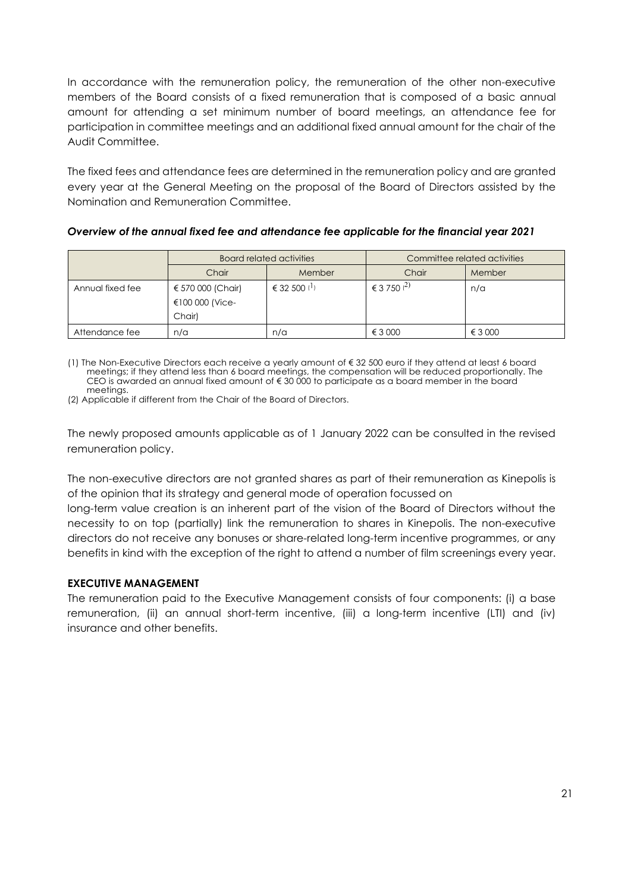In accordance with the remuneration policy, the remuneration of the other non-executive members of the Board consists of a fixed remuneration that is composed of a basic annual amount for attending a set minimum number of board meetings, an attendance fee for participation in committee meetings and an additional fixed annual amount for the chair of the Audit Committee.

The fixed fees and attendance fees are determined in the remuneration policy and are granted every year at the General Meeting on the proposal of the Board of Directors assisted by the Nomination and Remuneration Committee.

*Overview of the annual fixed fee and attendance fee applicable for the financial year 2021*

|                  | Board related activities                       |                | Committee related activities |         |  |
|------------------|------------------------------------------------|----------------|------------------------------|---------|--|
|                  | Chair                                          | Member         | Chair                        | Member  |  |
| Annual fixed fee | € 570 000 (Chair)<br>€100 000 (Vice-<br>Chair) | € 32 500 $(1)$ | € 3 750 $^{(2)}$             | n/a     |  |
| Attendance fee   | n/a                                            | n/a            | € 3 000                      | € 3 000 |  |

(1) The Non-Executive Directors each receive a yearly amount of € 32 500 euro if they attend at least 6 board meetings; if they attend less than 6 board meetings, the compensation will be reduced proportionally. The CEO is awarded an annual fixed amount of € 30 000 to participate as a board member in the board meetings.

(2) Applicable if different from the Chair of the Board of Directors.

The newly proposed amounts applicable as of 1 January 2022 can be consulted in the revised remuneration policy.

The non-executive directors are not granted shares as part of their remuneration as Kinepolis is of the opinion that its strategy and general mode of operation focussed on

long-term value creation is an inherent part of the vision of the Board of Directors without the necessity to on top (partially) link the remuneration to shares in Kinepolis. The non-executive directors do not receive any bonuses or share-related long-term incentive programmes, or any benefits in kind with the exception of the right to attend a number of film screenings every year.

### **EXECUTIVE MANAGEMENT**

The remuneration paid to the Executive Management consists of four components: (i) a base remuneration, (ii) an annual short-term incentive, (iii) a long-term incentive (LTI) and (iv) insurance and other benefits.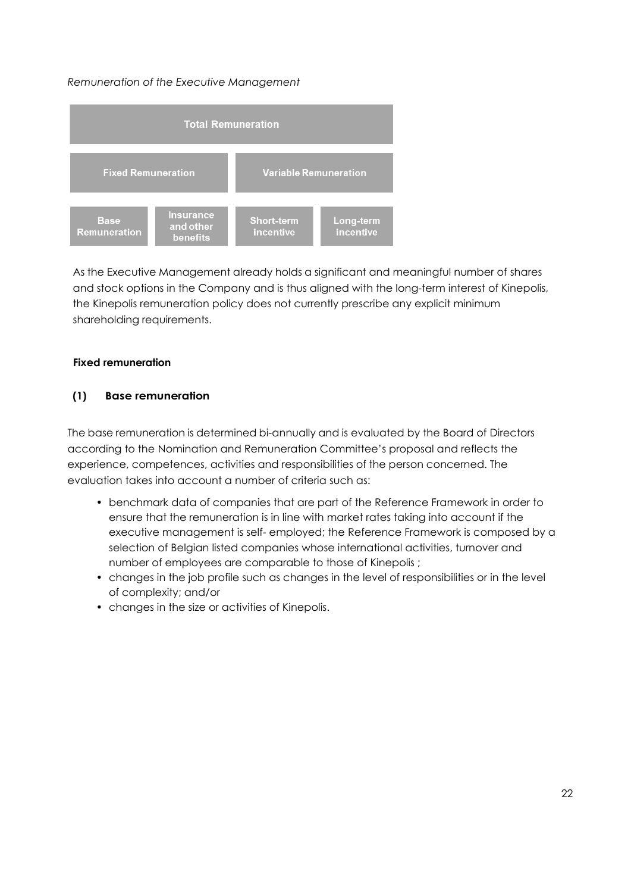### *Remuneration of the Executive Management*



As the Executive Management already holds a significant and meaningful number of shares and stock options in the Company and is thus aligned with the long-term interest of Kinepolis, the Kinepolis remuneration policy does not currently prescribe any explicit minimum shareholding requirements.

#### **Fixed remuneration**

### **(1) Base remuneration**

The base remuneration is determined bi-annually and is evaluated by the Board of Directors according to the Nomination and Remuneration Committee's proposal and reflects the experience, competences, activities and responsibilities of the person concerned. The evaluation takes into account a number of criteria such as:

- benchmark data of companies that are part of the Reference Framework in order to ensure that the remuneration is in line with market rates taking into account if the executive management is self- employed; the Reference Framework is composed by a selection of Belgian listed companies whose international activities, turnover and number of employees are comparable to those of Kinepolis ;
- changes in the job profile such as changes in the level of responsibilities or in the level of complexity; and/or
- changes in the size or activities of Kinepolis.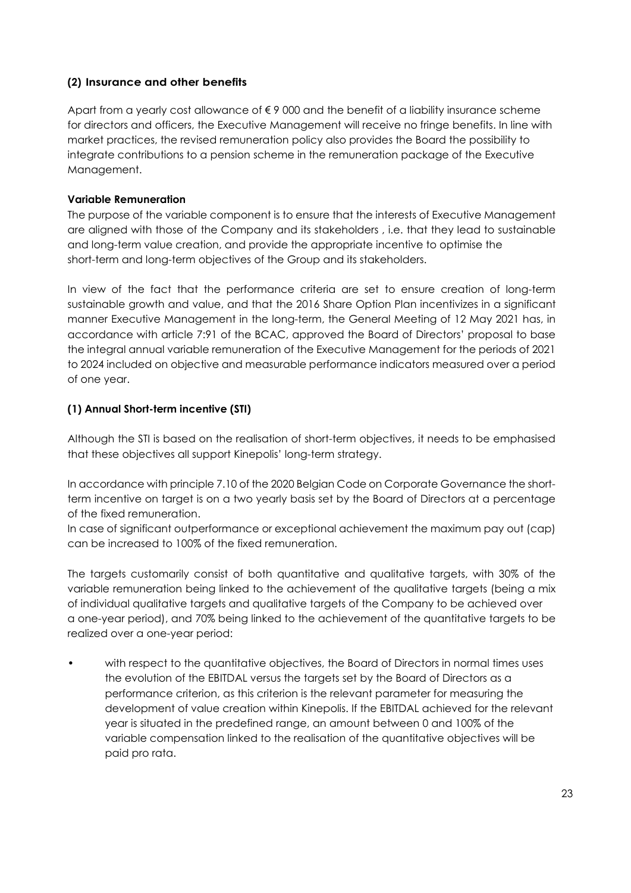### **(2) Insurance and other benefits**

Apart from a yearly cost allowance of € 9 000 and the benefit of a liability insurance scheme for directors and officers, the Executive Management will receive no fringe benefits. In line with market practices, the revised remuneration policy also provides the Board the possibility to integrate contributions to a pension scheme in the remuneration package of the Executive Management.

## **Variable Remuneration**

The purpose of the variable component is to ensure that the interests of Executive Management are aligned with those of the Company and its stakeholders , i.e. that they lead to sustainable and long-term value creation, and provide the appropriate incentive to optimise the short-term and long-term objectives of the Group and its stakeholders.

In view of the fact that the performance criteria are set to ensure creation of long-term sustainable growth and value, and that the 2016 Share Option Plan incentivizes in a significant manner Executive Management in the long-term, the General Meeting of 12 May 2021 has, in accordance with article 7:91 of the BCAC, approved the Board of Directors' proposal to base the integral annual variable remuneration of the Executive Management for the periods of 2021 to 2024 included on objective and measurable performance indicators measured over a period of one year.

## **(1) Annual Short-term incentive (STI)**

Although the STI is based on the realisation of short-term objectives, it needs to be emphasised that these objectives all support Kinepolis' long-term strategy.

In accordance with principle 7.10 of the 2020 Belgian Code on Corporate Governance the shortterm incentive on target is on a two yearly basis set by the Board of Directors at a percentage of the fixed remuneration.

In case of significant outperformance or exceptional achievement the maximum pay out (cap) can be increased to 100% of the fixed remuneration.

The targets customarily consist of both quantitative and qualitative targets, with 30% of the variable remuneration being linked to the achievement of the qualitative targets (being a mix of individual qualitative targets and qualitative targets of the Company to be achieved over a one-year period), and 70% being linked to the achievement of the quantitative targets to be realized over a one-year period:

• with respect to the quantitative objectives, the Board of Directors in normal times uses the evolution of the EBITDAL versus the targets set by the Board of Directors as a performance criterion, as this criterion is the relevant parameter for measuring the development of value creation within Kinepolis. If the EBITDAL achieved for the relevant year is situated in the predefined range, an amount between 0 and 100% of the variable compensation linked to the realisation of the quantitative objectives will be paid pro rata.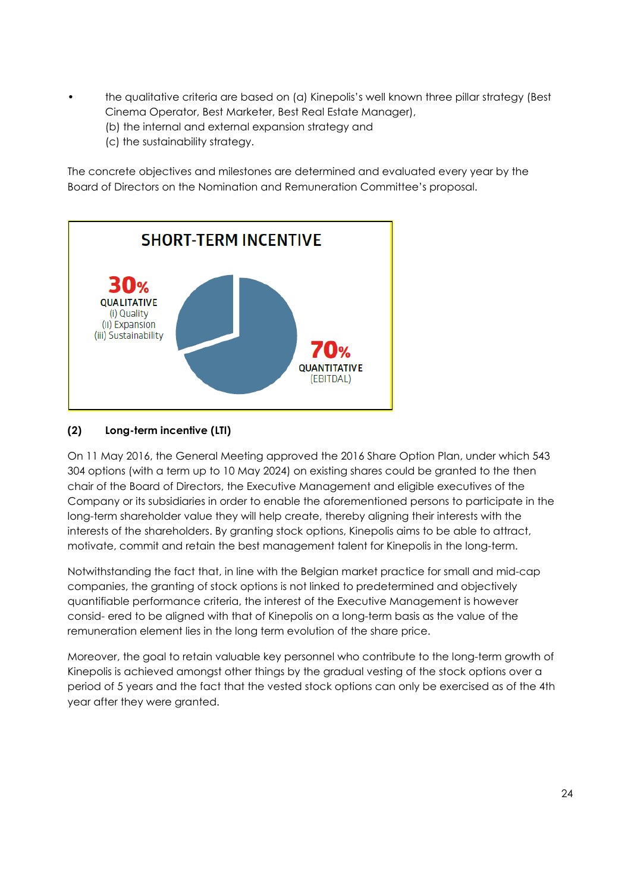- the qualitative criteria are based on (a) Kinepolis's well known three pillar strategy (Best Cinema Operator, Best Marketer, Best Real Estate Manager),
	- (b) the internal and external expansion strategy and
	- (c) the sustainability strategy.

The concrete objectives and milestones are determined and evaluated every year by the Board of Directors on the Nomination and Remuneration Committee's proposal.



## **(2) Long-term incentive (LTI)**

On 11 May 2016, the General Meeting approved the 2016 Share Option Plan, under which 543 304 options (with a term up to 10 May 2024) on existing shares could be granted to the then chair of the Board of Directors, the Executive Management and eligible executives of the Company or its subsidiaries in order to enable the aforementioned persons to participate in the long-term shareholder value they will help create, thereby aligning their interests with the interests of the shareholders. By granting stock options, Kinepolis aims to be able to attract, motivate, commit and retain the best management talent for Kinepolis in the long-term.

Notwithstanding the fact that, in line with the Belgian market practice for small and mid-cap companies, the granting of stock options is not linked to predetermined and objectively quantifiable performance criteria, the interest of the Executive Management is however consid- ered to be aligned with that of Kinepolis on a long-term basis as the value of the remuneration element lies in the long term evolution of the share price.

Moreover, the goal to retain valuable key personnel who contribute to the long-term growth of Kinepolis is achieved amongst other things by the gradual vesting of the stock options over a period of 5 years and the fact that the vested stock options can only be exercised as of the 4th year after they were granted.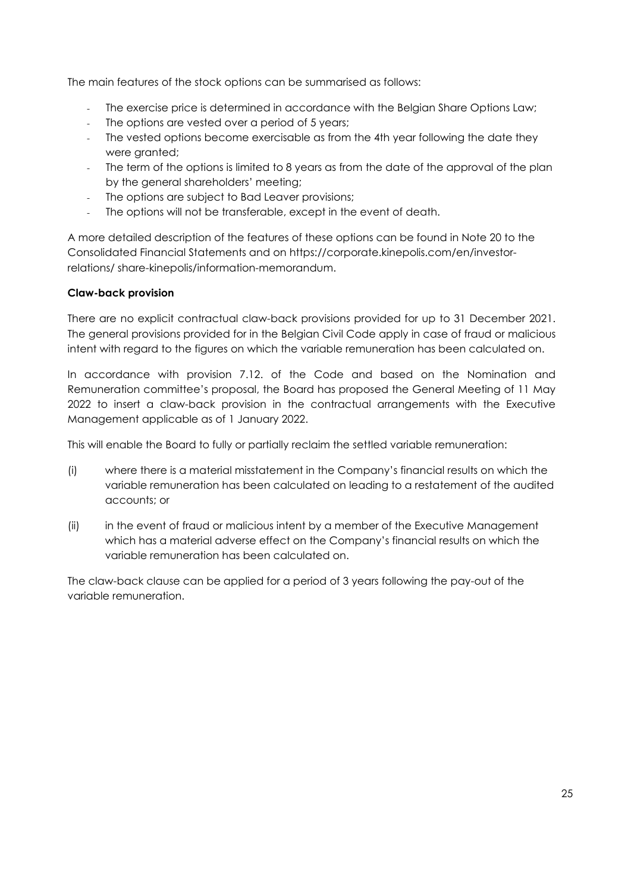The main features of the stock options can be summarised as follows:

- The exercise price is determined in accordance with the Belgian Share Options Law;
- The options are vested over a period of 5 years;
- The vested options become exercisable as from the 4th year following the date they were granted;
- The term of the options is limited to 8 years as from the date of the approval of the plan by the general shareholders' meeting;
- The options are subject to Bad Leaver provisions;
- The options will not be transferable, except in the event of death.

A more detailed description of the features of these options can be found in Note 20 to the Consolidated Financial Statements and on https://corporate.kinepolis.com/en/investorrelations/ share-kinepolis/information-memorandum.

### **Claw-back provision**

There are no explicit contractual claw-back provisions provided for up to 31 December 2021. The general provisions provided for in the Belgian Civil Code apply in case of fraud or malicious intent with regard to the figures on which the variable remuneration has been calculated on.

In accordance with provision 7.12. of the Code and based on the Nomination and Remuneration committee's proposal, the Board has proposed the General Meeting of 11 May 2022 to insert a claw-back provision in the contractual arrangements with the Executive Management applicable as of 1 January 2022.

This will enable the Board to fully or partially reclaim the settled variable remuneration:

- (i) where there is a material misstatement in the Company's financial results on which the variable remuneration has been calculated on leading to a restatement of the audited accounts; or
- (ii) in the event of fraud or malicious intent by a member of the Executive Management which has a material adverse effect on the Company's financial results on which the variable remuneration has been calculated on.

The claw-back clause can be applied for a period of 3 years following the pay-out of the variable remuneration.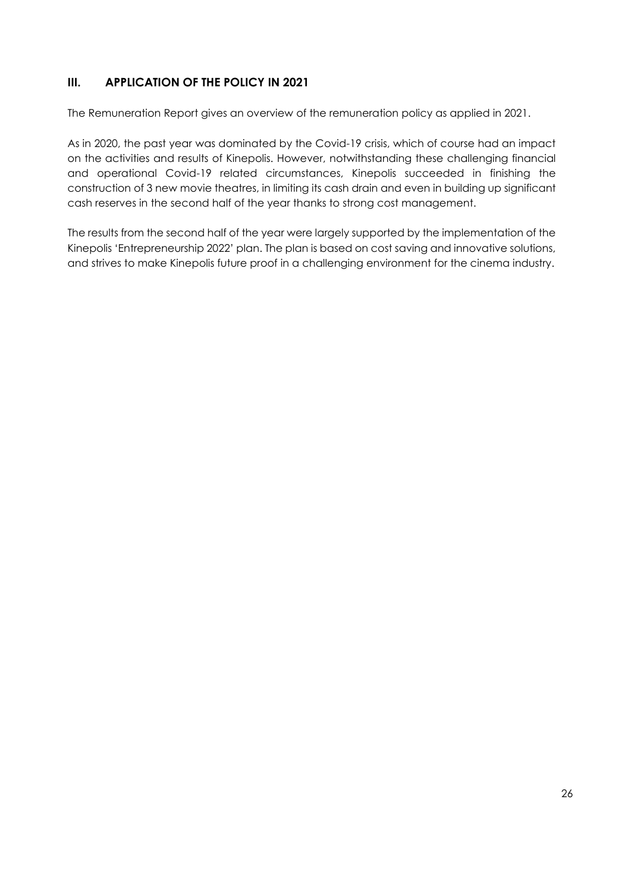# **III. APPLICATION OF THE POLICY IN 2021**

The Remuneration Report gives an overview of the remuneration policy as applied in 2021.

As in 2020, the past year was dominated by the Covid-19 crisis, which of course had an impact on the activities and results of Kinepolis. However, notwithstanding these challenging financial and operational Covid-19 related circumstances, Kinepolis succeeded in finishing the construction of 3 new movie theatres, in limiting its cash drain and even in building up significant cash reserves in the second half of the year thanks to strong cost management.

The results from the second half of the year were largely supported by the implementation of the Kinepolis 'Entrepreneurship 2022' plan. The plan is based on cost saving and innovative solutions, and strives to make Kinepolis future proof in a challenging environment for the cinema industry.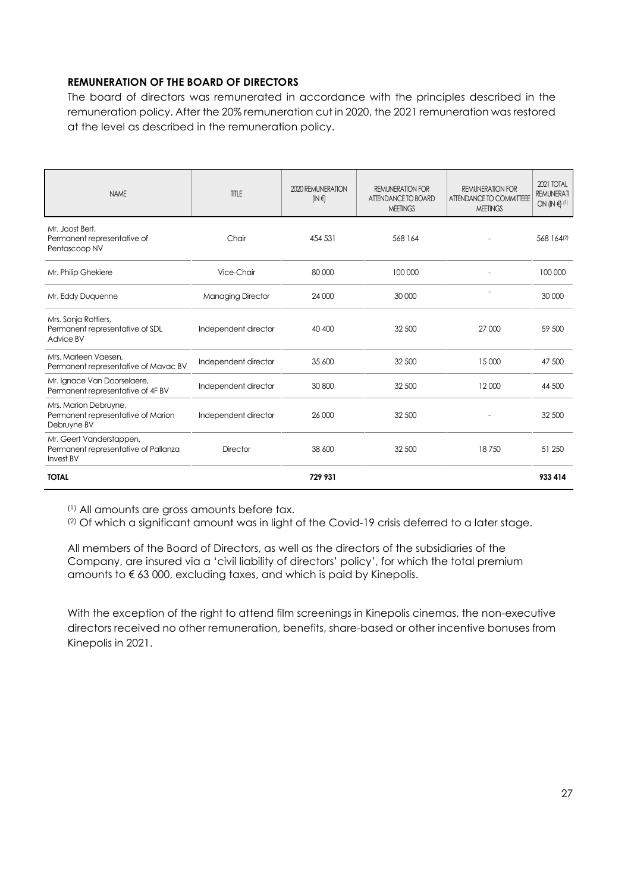### **REMUNERATION OF THE BOARD OF DIRECTORS**

The board of directors was remunerated in accordance with the principles described in the remuneration policy. After the 20% remuneration cut in 2020, the 2021 remuneration was restored at the level as described in the remuneration policy.

| <b>NAME</b>                                                                          | TITLE                    | 2020 REMUNERATION<br>$(N \in \mathbb{N})$ | <b>REMUNERATION FOR</b><br>ATTENDANCE TO BOARD<br><b>MEETINGS</b> | <b>REMUNERATION FOR</b><br>ATTENDANCE TO COMMITTEEE<br><b>MEETINGS</b> | 2021 TOTAL<br><b>REMUNERATI</b><br>ON $(IN \in \{1\})$ |
|--------------------------------------------------------------------------------------|--------------------------|-------------------------------------------|-------------------------------------------------------------------|------------------------------------------------------------------------|--------------------------------------------------------|
| Mr. Joost Bert,<br>Permanent representative of<br>Pentascoop NV                      | Chair                    | 454 531                                   | 568 164                                                           |                                                                        | 568 164 <sup>(2)</sup>                                 |
| Mr. Philip Ghekiere                                                                  | Vice-Chair               | 80 000                                    | 100 000                                                           |                                                                        | 100 000                                                |
| Mr. Eddy Duquenne                                                                    | <b>Managing Director</b> | 24 000                                    | 30 000                                                            |                                                                        | 30 000                                                 |
| Mrs. Sonja Rottiers,<br>Permanent representative of SDL<br>Advice BV                 | Independent director     | 40 400                                    | 32 500                                                            | 27 000                                                                 | 59 500                                                 |
| Mrs. Marleen Vaesen,<br>Permanent representative of Mavac BV                         | Independent director     | 35 600                                    | 32 500                                                            | 15 000                                                                 | 47 500                                                 |
| Mr. Ignace Van Doorselaere,<br>Permanent representative of 4F BV                     | Independent director     | 30 800                                    | 32 500                                                            | 12000                                                                  | 44 500                                                 |
| Mrs. Marion Debruyne,<br>Permanent representative of Marion<br>Debruyne BV           | Independent director     | 26 000                                    | 32 500                                                            |                                                                        | 32 500                                                 |
| Mr. Geert Vanderstappen,<br>Permanent representative of Pallanza<br><b>Invest BV</b> | <b>Director</b>          | 38 600                                    | 32 500                                                            | 18750                                                                  | 51 250                                                 |
| <b>TOTAL</b>                                                                         |                          | 729 931                                   |                                                                   |                                                                        | 933 414                                                |

(1) All amounts are gross amounts before tax.

(2) Of which a significant amount was in light of the Covid-19 crisis deferred to a later stage.

All members of the Board of Directors, as well as the directors of the subsidiaries of the Company, are insured via a 'civil liability of directors' policy', for which the total premium amounts to € 63 000, excluding taxes, and which is paid by Kinepolis.

With the exception of the right to attend film screenings in Kinepolis cinemas, the non-executive directors received no other remuneration, benefits, share-based or other incentive bonuses from Kinepolis in 2021.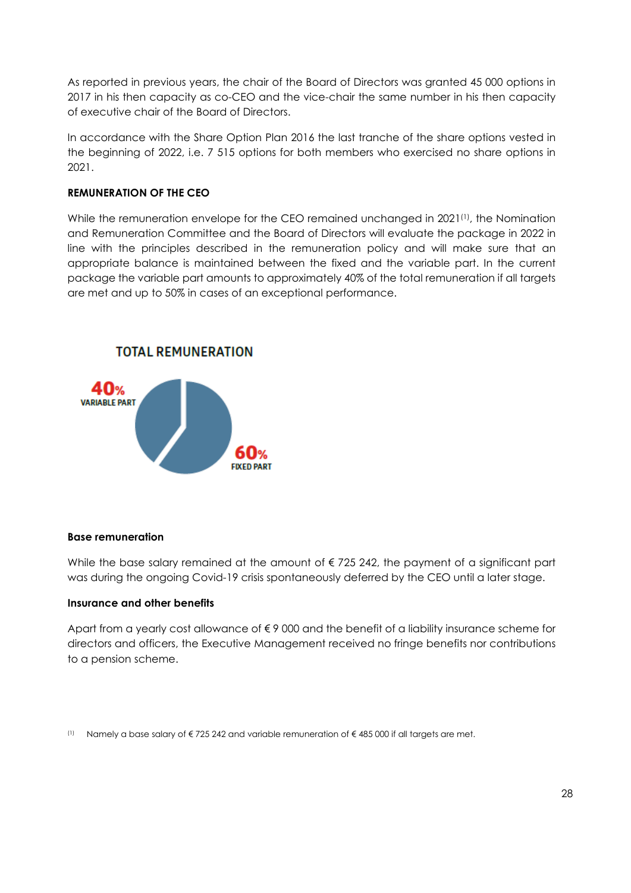As reported in previous years, the chair of the Board of Directors was granted 45 000 options in 2017 in his then capacity as co-CEO and the vice-chair the same number in his then capacity of executive chair of the Board of Directors.

In accordance with the Share Option Plan 2016 the last tranche of the share options vested in the beginning of 2022, i.e. 7 515 options for both members who exercised no share options in 2021.

### **REMUNERATION OF THE CEO**

While the remuneration envelope for the CEO remained unchanged in 2021<sup>(1)</sup>, the Nomination and Remuneration Committee and the Board of Directors will evaluate the package in 2022 in line with the principles described in the remuneration policy and will make sure that an appropriate balance is maintained between the fixed and the variable part. In the current package the variable part amounts to approximately 40% of the total remuneration if all targets are met and up to 50% in cases of an exceptional performance.



#### **Base remuneration**

While the base salary remained at the amount of  $\epsilon$  725 242, the payment of a significant part was during the ongoing Covid-19 crisis spontaneously deferred by the CEO until a later stage.

#### **Insurance and other benefits**

Apart from a yearly cost allowance of € 9 000 and the benefit of a liability insurance scheme for directors and officers, the Executive Management received no fringe benefits nor contributions to a pension scheme.

(1) Namely a base salary of  $\epsilon$  725 242 and variable remuneration of  $\epsilon$  485 000 if all targets are met.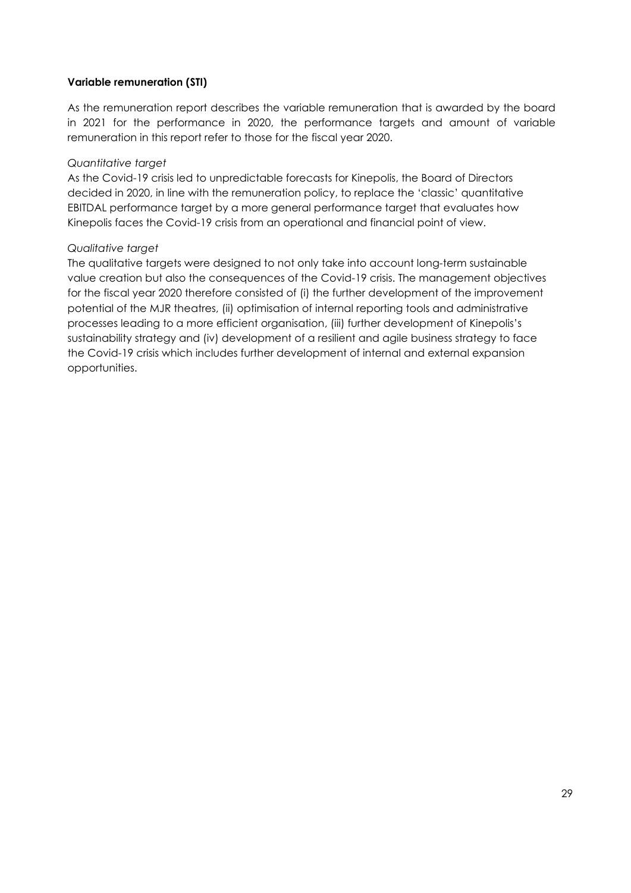### **Variable remuneration (STI)**

As the remuneration report describes the variable remuneration that is awarded by the board in 2021 for the performance in 2020, the performance targets and amount of variable remuneration in this report refer to those for the fiscal year 2020.

#### *Quantitative target*

As the Covid-19 crisis led to unpredictable forecasts for Kinepolis, the Board of Directors decided in 2020, in line with the remuneration policy, to replace the 'classic' quantitative EBITDAL performance target by a more general performance target that evaluates how Kinepolis faces the Covid-19 crisis from an operational and financial point of view.

#### *Qualitative target*

The qualitative targets were designed to not only take into account long-term sustainable value creation but also the consequences of the Covid-19 crisis. The management objectives for the fiscal year 2020 therefore consisted of (i) the further development of the improvement potential of the MJR theatres, (ii) optimisation of internal reporting tools and administrative processes leading to a more efficient organisation, (iii) further development of Kinepolis's sustainability strategy and (iv) development of a resilient and agile business strategy to face the Covid-19 crisis which includes further development of internal and external expansion opportunities.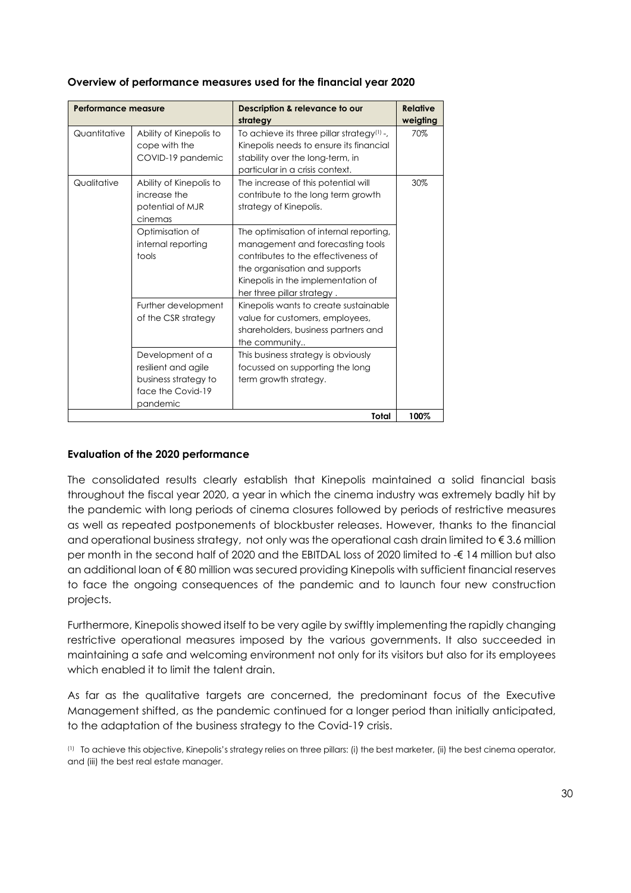| <b>Performance measure</b> |                                                                                                  | Description & relevance to our<br>strategy                                                                                                                                                                              | <b>Relative</b><br>weigting |
|----------------------------|--------------------------------------------------------------------------------------------------|-------------------------------------------------------------------------------------------------------------------------------------------------------------------------------------------------------------------------|-----------------------------|
| Quantitative               | Ability of Kinepolis to<br>cope with the<br>COVID-19 pandemic                                    | To achieve its three pillar strategy <sup>(1)</sup> -,<br>Kinepolis needs to ensure its financial<br>stability over the long-term, in<br>particular in a crisis context.                                                | 70%                         |
| Qualitative                | Ability of Kinepolis to<br>increase the<br>potential of MJR<br>cinemas                           | The increase of this potential will<br>contribute to the long term growth<br>strategy of Kinepolis.                                                                                                                     | 30%                         |
|                            | Optimisation of<br>internal reporting<br>tools                                                   | The optimisation of internal reporting,<br>management and forecasting tools<br>contributes to the effectiveness of<br>the organisation and supports<br>Kinepolis in the implementation of<br>her three pillar strategy. |                             |
|                            | Further development<br>of the CSR strategy                                                       | Kinepolis wants to create sustainable<br>value for customers, employees,<br>shareholders, business partners and<br>the community                                                                                        |                             |
|                            | Development of a<br>resilient and agile<br>business strategy to<br>face the Covid-19<br>pandemic | This business strategy is obviously<br>focussed on supporting the long<br>term growth strategy.                                                                                                                         |                             |
|                            |                                                                                                  | Total                                                                                                                                                                                                                   | 100%                        |

### **Overview of performance measures used for the financial year 2020**

#### **Evaluation of the 2020 performance**

The consolidated results clearly establish that Kinepolis maintained a solid financial basis throughout the fiscal year 2020, a year in which the cinema industry was extremely badly hit by the pandemic with long periods of cinema closures followed by periods of restrictive measures as well as repeated postponements of blockbuster releases. However, thanks to the financial and operational business strategy, not only was the operational cash drain limited to  $\epsilon$  3.6 million per month in the second half of 2020 and the EBITDAL loss of 2020 limited to -€ 14 million but also an additional loan of € 80 million was secured providing Kinepolis with sufficient financial reserves to face the ongoing consequences of the pandemic and to launch four new construction projects.

Furthermore, Kinepolis showed itself to be very agile by swiftly implementing the rapidly changing restrictive operational measures imposed by the various governments. It also succeeded in maintaining a safe and welcoming environment not only for its visitors but also for its employees which enabled it to limit the talent drain.

As far as the qualitative targets are concerned, the predominant focus of the Executive Management shifted, as the pandemic continued for a longer period than initially anticipated, to the adaptation of the business strategy to the Covid-19 crisis.

(1)To achieve this objective, Kinepolis's strategy relies on three pillars: (i) the best marketer, (ii) the best cinema operator, and (iii) the best real estate manager.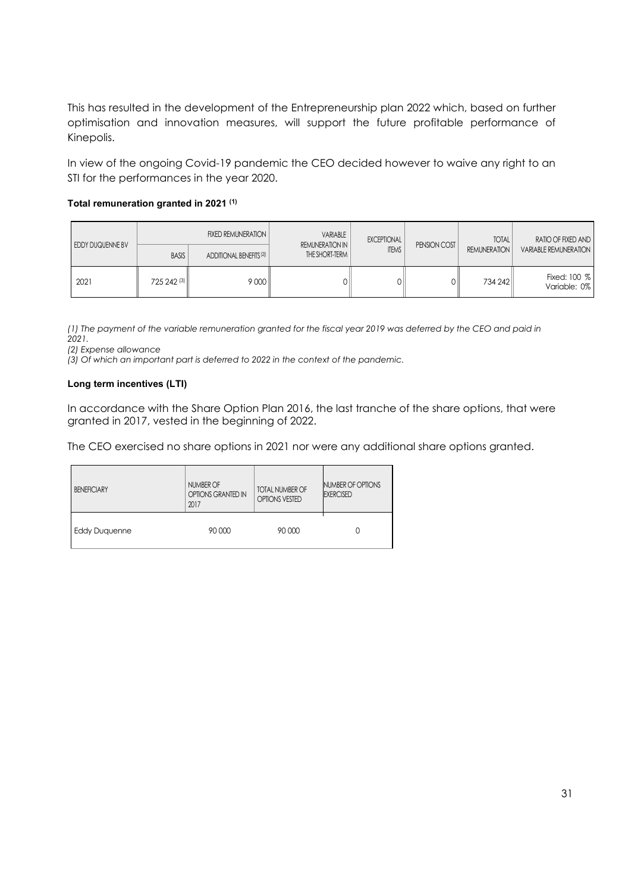This has resulted in the development of the Entrepreneurship plan 2022 which, based on further optimisation and innovation measures, will support the future profitable performance of Kinepolis.

In view of the ongoing Covid-19 pandemic the CEO decided however to waive any right to an STI for the performances in the year 2020.

#### **Total remuneration granted in 2021 (1)**

|                                                                        |                         | <b>FIXED REMUNERATION  </b> | VARIABLE<br><b>REMUNERATION IN</b> |                     | EXCEPTIONAL                  | PENSION COST | <b>TOTAL</b>                 | RATIO OF FIXED AND |
|------------------------------------------------------------------------|-------------------------|-----------------------------|------------------------------------|---------------------|------------------------------|--------------|------------------------------|--------------------|
| EDDY DUQUENNE BV<br><b>BASIS</b><br>ADDITIONAL BENEFITS <sup>(2)</sup> | THE SHORT-TERM          | <b>ITEMS</b>                |                                    | <b>REMUNERATION</b> | <b>VARIABLE REMUNERATION</b> |              |                              |                    |
| 2021                                                                   | $725242$ <sup>(3)</sup> | 9000                        |                                    | DШ                  |                              | 734 242      | Fixed: 100 %<br>Variable: 0% |                    |

*(1) The payment of the variable remuneration granted for the fiscal year 2019 was deferred by the CEO and paid in 2021.*

*(2) Expense allowance*

*(3) Of which an important part is deferred to 2022 in the context of the pandemic.*

#### **Long term incentives (LTI)**

In accordance with the Share Option Plan 2016, the last tranche of the share options, that were granted in 2017, vested in the beginning of 2022.

The CEO exercised no share options in 2021 nor were any additional share options granted.

| <b>BENEFICIARY</b> | NUMBER OF<br>OPTIONS GRANTED IN<br>2017 | <b>TOTAL NUMBER OF</b><br><b>OPTIONS VESTED</b> | NUMBER OF OPTIONS<br><b>EXERCISED</b> |  |
|--------------------|-----------------------------------------|-------------------------------------------------|---------------------------------------|--|
| Eddy Duguenne      | 90 000                                  | 90 000                                          |                                       |  |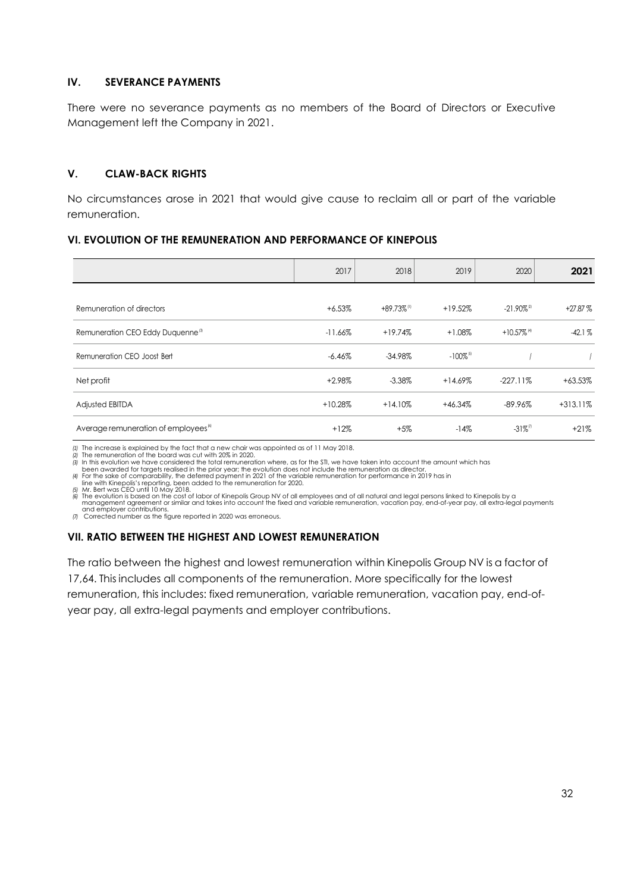#### **IV. SEVERANCE PAYMENTS**

There were no severance payments as no members of the Board of Directors or Executive Management left the Company in 2021.

### **V. CLAW-BACK RIGHTS**

No circumstances arose in 2021 that would give cause to reclaim all or part of the variable remuneration.

### **VI. EVOLUTION OF THE REMUNERATION AND PERFORMANCE OF KINEPOLIS**

|                                                  | 2017      | 2018                      | 2019                    | 2020                      | 2021       |
|--------------------------------------------------|-----------|---------------------------|-------------------------|---------------------------|------------|
|                                                  |           | $+89.73\%$ <sup>(1)</sup> |                         | $-21.90\%$ <sup>2</sup>   | $+27.87%$  |
| Remuneration of directors                        | $+6.53%$  |                           | $+19.52%$               |                           |            |
| Remuneration CEO Eddy Duquenne <sup>®</sup>      | $-11.66%$ | $+19.74%$                 | $+1.08%$                | $+10.57\%$ <sup>(4)</sup> | $-42.1%$   |
| Remuneration CEO Joost Bert                      | $-6.46\%$ | $-34.98\%$                | $-100\%$ <sup>[5]</sup> |                           |            |
| Net profit                                       | $+2.98%$  | $-3.38\%$                 | $+14.69%$               | $-227.11\%$               | $+63.53%$  |
| <b>Adjusted EBITDA</b>                           | $+10.28%$ | $+14.10%$                 | +46.34%                 | $-89.96%$                 | $+313.11%$ |
| Average remuneration of employees <sup>(6)</sup> | $+12%$    | $+5%$                     | $-14%$                  | $-31\%$ <sup>(7)</sup>    | $+21%$     |

*<sup>(1)</sup>* The increase is explained by the fact that a new chair was appointed as of 11 May 2018.

*(2)* The remuneration of the board was cut with 20% in 2020. *(3)* In this evolution we have considered the total remuneration where, as for the STI, we have taken into account the amount which has

been awarded for targets realised in the prior year; the evolution does not include the remuneration as director.<br>If For the sake of comparability, the deferred payment in 2021 of the variable remuneration for performance

(5) Mr. Bert was CEO until 10 May 2018.<br>(6) The evolution is based on the cost of labor of Kinepolis Group NV of all employees and of all natural and legal persons linked to Kinepolis by a<br>(6) Thanagement agreement or simi

and employer contributions. *(7)* Corrected number as the figure reported in 2020 was erroneous.

### **VII. RATIO BETWEEN THE HIGHEST AND LOWEST REMUNERATION**

The ratio between the highest and lowest remuneration within Kinepolis Group NV is a factor of 17,64. This includes all components of the remuneration. More specifically for the lowest remuneration, this includes: fixed remuneration, variable remuneration, vacation pay, end-ofyear pay, all extra-legal payments and employer contributions.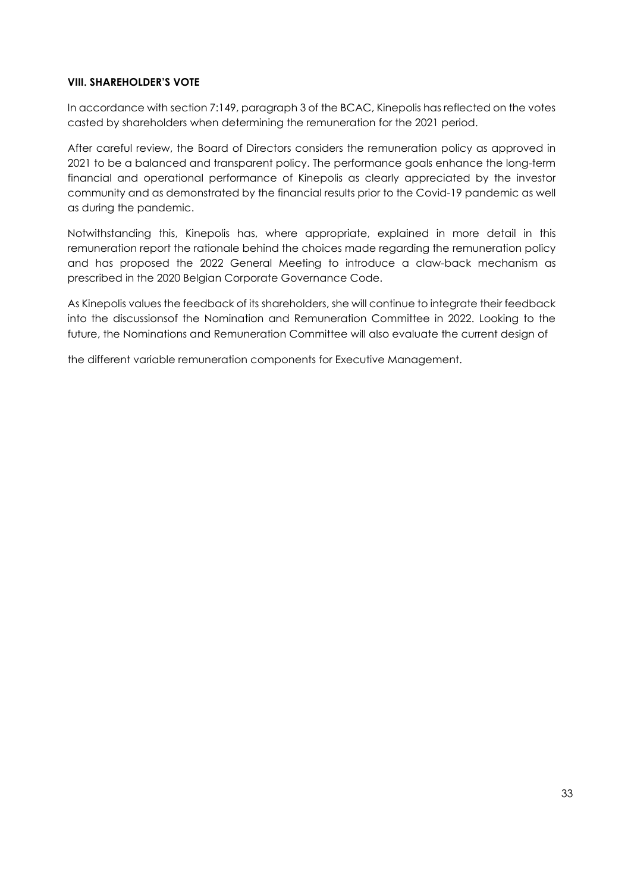#### **VIII. SHAREHOLDER'S VOTE**

In accordance with section 7:149, paragraph 3 of the BCAC, Kinepolis has reflected on the votes casted by shareholders when determining the remuneration for the 2021 period.

After careful review, the Board of Directors considers the remuneration policy as approved in 2021 to be a balanced and transparent policy. The performance goals enhance the long-term financial and operational performance of Kinepolis as clearly appreciated by the investor community and as demonstrated by the financial results prior to the Covid-19 pandemic as well as during the pandemic.

Notwithstanding this, Kinepolis has, where appropriate, explained in more detail in this remuneration report the rationale behind the choices made regarding the remuneration policy and has proposed the 2022 General Meeting to introduce a claw-back mechanism as prescribed in the 2020 Belgian Corporate Governance Code.

As Kinepolis values the feedback of its shareholders, she will continue to integrate their feedback into the discussionsof the Nomination and Remuneration Committee in 2022. Looking to the future, the Nominations and Remuneration Committee will also evaluate the current design of

the different variable remuneration components for Executive Management.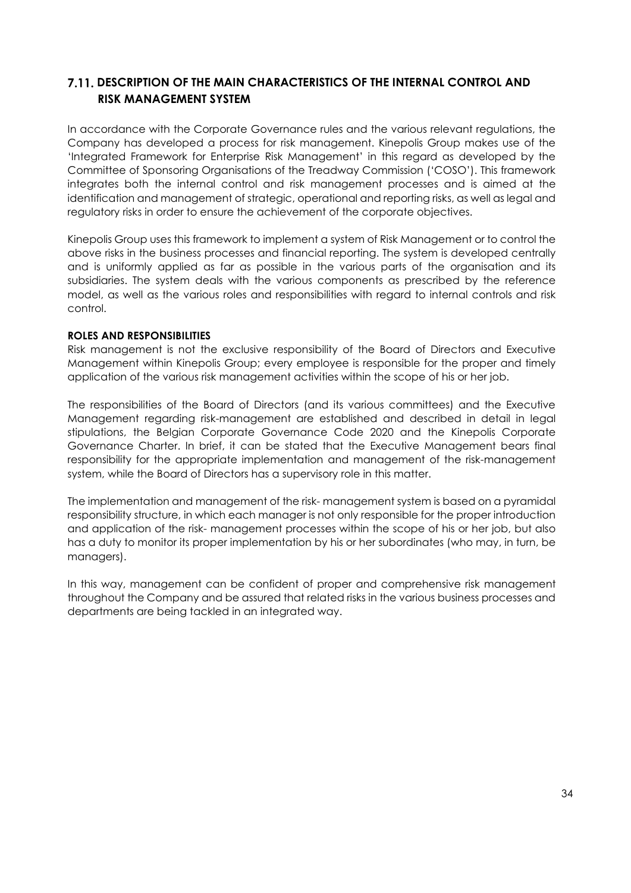## **7.11. DESCRIPTION OF THE MAIN CHARACTERISTICS OF THE INTERNAL CONTROL AND RISK MANAGEMENT SYSTEM**

In accordance with the Corporate Governance rules and the various relevant regulations, the Company has developed a process for risk management. Kinepolis Group makes use of the 'Integrated Framework for Enterprise Risk Management' in this regard as developed by the Committee of Sponsoring Organisations of the Treadway Commission ('COSO'). This framework integrates both the internal control and risk management processes and is aimed at the identification and management of strategic, operational and reporting risks, as well as legal and regulatory risks in order to ensure the achievement of the corporate objectives.

Kinepolis Group uses this framework to implement a system of Risk Management or to control the above risks in the business processes and financial reporting. The system is developed centrally and is uniformly applied as far as possible in the various parts of the organisation and its subsidiaries. The system deals with the various components as prescribed by the reference model, as well as the various roles and responsibilities with regard to internal controls and risk control.

#### **ROLES AND RESPONSIBILITIES**

Risk management is not the exclusive responsibility of the Board of Directors and Executive Management within Kinepolis Group; every employee is responsible for the proper and timely application of the various risk management activities within the scope of his or her job.

The responsibilities of the Board of Directors (and its various committees) and the Executive Management regarding risk-management are established and described in detail in legal stipulations, the Belgian Corporate Governance Code 2020 and the Kinepolis Corporate Governance Charter. In brief, it can be stated that the Executive Management bears final responsibility for the appropriate implementation and management of the risk-management system, while the Board of Directors has a supervisory role in this matter.

The implementation and management of the risk- management system is based on a pyramidal responsibility structure, in which each manager is not only responsible for the proper introduction and application of the risk- management processes within the scope of his or her job, but also has a duty to monitor its proper implementation by his or her subordinates (who may, in turn, be managers).

In this way, management can be confident of proper and comprehensive risk management throughout the Company and be assured that related risks in the various business processes and departments are being tackled in an integrated way.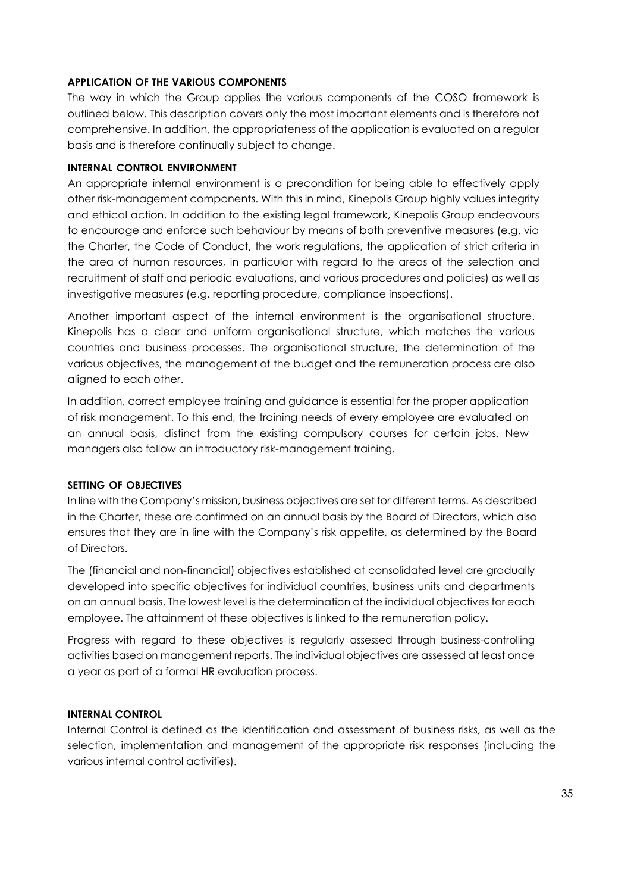### **APPLICATION OF THE VARIOUS COMPONENTS**

The way in which the Group applies the various components of the COSO framework is outlined below. This description covers only the most important elements and is therefore not comprehensive. In addition, the appropriateness of the application is evaluated on a regular basis and is therefore continually subject to change.

#### **INTERNAL CONTROL ENVIRONMENT**

An appropriate internal environment is a precondition for being able to effectively apply other risk-management components. With this in mind, Kinepolis Group highly values integrity and ethical action. In addition to the existing legal framework, Kinepolis Group endeavours to encourage and enforce such behaviour by means of both preventive measures (e.g. via the Charter, the Code of Conduct, the work regulations, the application of strict criteria in the area of human resources, in particular with regard to the areas of the selection and recruitment of staff and periodic evaluations, and various procedures and policies) as well as investigative measures (e.g. reporting procedure, compliance inspections).

Another important aspect of the internal environment is the organisational structure. Kinepolis has a clear and uniform organisational structure, which matches the various countries and business processes. The organisational structure, the determination of the various objectives, the management of the budget and the remuneration process are also aligned to each other.

In addition, correct employee training and guidance is essential for the proper application of risk management. To this end, the training needs of every employee are evaluated on an annual basis, distinct from the existing compulsory courses for certain jobs. New managers also follow an introductory risk-management training.

#### **SETTING OF OBJECTIVES**

In line with the Company's mission, business objectives are set for different terms. As described in the Charter, these are confirmed on an annual basis by the Board of Directors, which also ensures that they are in line with the Company's risk appetite, as determined by the Board of Directors.

The (financial and non-financial) objectives established at consolidated level are gradually developed into specific objectives for individual countries, business units and departments on an annual basis. The lowest level is the determination of the individual objectives for each employee. The attainment of these objectives is linked to the remuneration policy.

Progress with regard to these objectives is regularly assessed through business-controlling activities based on management reports. The individual objectives are assessed at least once a year as part of a formal HR evaluation process.

#### **INTERNAL CONTROL**

Internal Control is defined as the identification and assessment of business risks, as well as the selection, implementation and management of the appropriate risk responses (including the various internal control activities).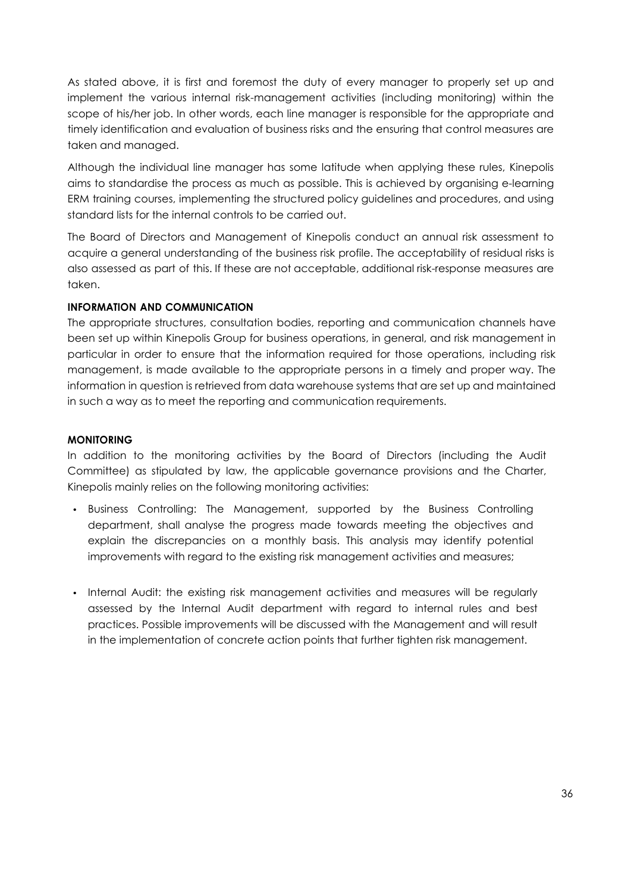As stated above, it is first and foremost the duty of every manager to properly set up and implement the various internal risk-management activities (including monitoring) within the scope of his/her job. In other words, each line manager is responsible for the appropriate and timely identification and evaluation of business risks and the ensuring that control measures are taken and managed.

Although the individual line manager has some latitude when applying these rules, Kinepolis aims to standardise the process as much as possible. This is achieved by organising e-learning ERM training courses, implementing the structured policy guidelines and procedures, and using standard lists for the internal controls to be carried out.

The Board of Directors and Management of Kinepolis conduct an annual risk assessment to acquire a general understanding of the business risk profile. The acceptability of residual risks is also assessed as part of this. If these are not acceptable, additional risk-response measures are taken.

#### **INFORMATION AND COMMUNICATION**

The appropriate structures, consultation bodies, reporting and communication channels have been set up within Kinepolis Group for business operations, in general, and risk management in particular in order to ensure that the information required for those operations, including risk management, is made available to the appropriate persons in a timely and proper way. The information in question is retrieved from data warehouse systems that are set up and maintained in such a way as to meet the reporting and communication requirements.

#### **MONITORING**

In addition to the monitoring activities by the Board of Directors (including the Audit Committee) as stipulated by law, the applicable governance provisions and the Charter, Kinepolis mainly relies on the following monitoring activities:

- Business Controlling: The Management, supported by the Business Controlling department, shall analyse the progress made towards meeting the objectives and explain the discrepancies on a monthly basis. This analysis may identify potential improvements with regard to the existing risk management activities and measures;
- Internal Audit: the existing risk management activities and measures will be regularly assessed by the Internal Audit department with regard to internal rules and best practices. Possible improvements will be discussed with the Management and will result in the implementation of concrete action points that further tighten risk management.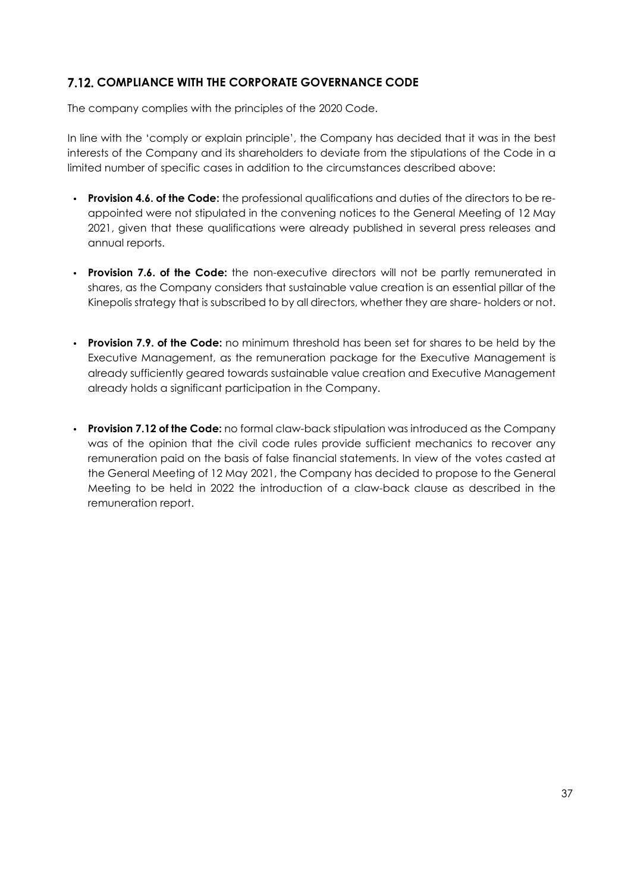# **7.12. COMPLIANCE WITH THE CORPORATE GOVERNANCE CODE**

The company complies with the principles of the 2020 Code.

In line with the 'comply or explain principle', the Company has decided that it was in the best interests of the Company and its shareholders to deviate from the stipulations of the Code in a limited number of specific cases in addition to the circumstances described above:

- **Provision 4.6. of the Code:** the professional qualifications and duties of the directors to be reappointed were not stipulated in the convening notices to the General Meeting of 12 May 2021, given that these qualifications were already published in several press releases and annual reports.
- **Provision 7.6. of the Code:** the non-executive directors will not be partly remunerated in shares, as the Company considers that sustainable value creation is an essential pillar of the Kinepolis strategy that is subscribed to by all directors, whether they are share- holders or not.
- **Provision 7.9. of the Code:** no minimum threshold has been set for shares to be held by the Executive Management, as the remuneration package for the Executive Management is already sufficiently geared towards sustainable value creation and Executive Management already holds a significant participation in the Company.
- **Provision 7.12 of the Code:** no formal claw-back stipulation was introduced as the Company was of the opinion that the civil code rules provide sufficient mechanics to recover any remuneration paid on the basis of false financial statements. In view of the votes casted at the General Meeting of 12 May 2021, the Company has decided to propose to the General Meeting to be held in 2022 the introduction of a claw-back clause as described in the remuneration report.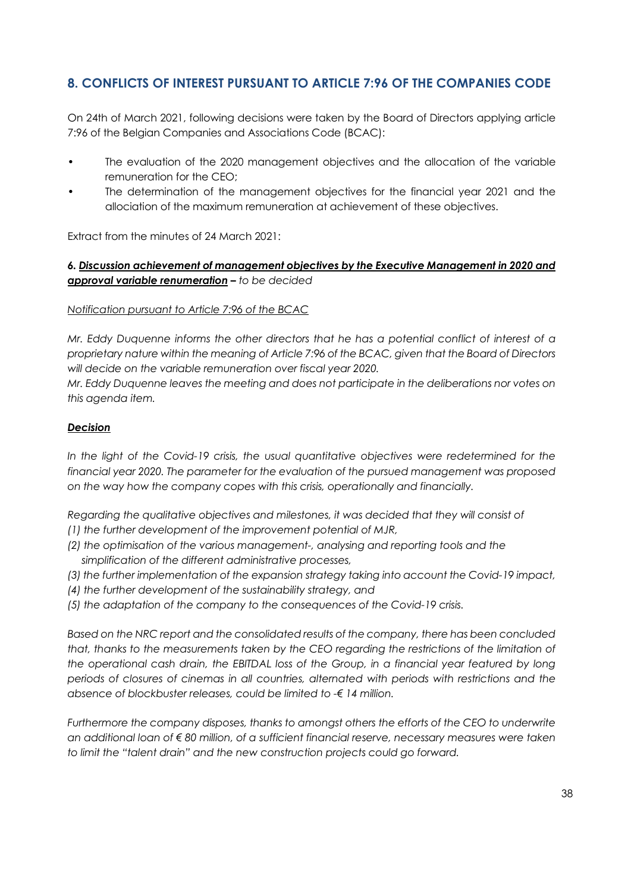# **8. CONFLICTS OF INTEREST PURSUANT TO ARTICLE 7:96 OF THE COMPANIES CODE**

On 24th of March 2021, following decisions were taken by the Board of Directors applying article 7:96 of the Belgian Companies and Associations Code (BCAC):

- The evaluation of the 2020 management objectives and the allocation of the variable remuneration for the CEO;
- The determination of the management objectives for the financial year 2021 and the allociation of the maximum remuneration at achievement of these objectives.

Extract from the minutes of 24 March 2021:

## *6. Discussion achievement of management objectives by the Executive Management in 2020 and approval variable renumeration – to be decided*

### *Notification pursuant to Article 7:96 of the BCAC*

*Mr. Eddy Duquenne informs the other directors that he has a potential conflict of interest of a proprietary nature within the meaning of Article 7:96 of the BCAC, given that the Board of Directors will decide on the variable remuneration over fiscal year 2020.*

*Mr. Eddy Duquenne leaves the meeting and does not participate in the deliberations nor votes on this agenda item.*

### *Decision*

In the light of the Covid-19 crisis, the usual quantitative objectives were redetermined for the *financial year 2020. The parameter for the evaluation of the pursued management was proposed on the way how the company copes with this crisis, operationally and financially.* 

*Regarding the qualitative objectives and milestones, it was decided that they will consist of* 

- *(1) the further development of the improvement potential of MJR,*
- *(2) the optimisation of the various management-, analysing and reporting tools and the simplification of the different administrative processes,*
- *(3) the further implementation of the expansion strategy taking into account the Covid-19 impact,*
- *(4) the further development of the sustainability strategy, and*
- *(5) the adaptation of the company to the consequences of the Covid-19 crisis.*

*Based on the NRC report and the consolidated results of the company, there has been concluded that, thanks to the measurements taken by the CEO regarding the restrictions of the limitation of the operational cash drain, the EBITDAL loss of the Group, in a financial year featured by long periods of closures of cinemas in all countries, alternated with periods with restrictions and the absence of blockbuster releases, could be limited to -€ 14 million.*

*Furthermore the company disposes, thanks to amongst others the efforts of the CEO to underwrite an additional loan of € 80 million, of a sufficient financial reserve, necessary measures were taken to limit the "talent drain" and the new construction projects could go forward.*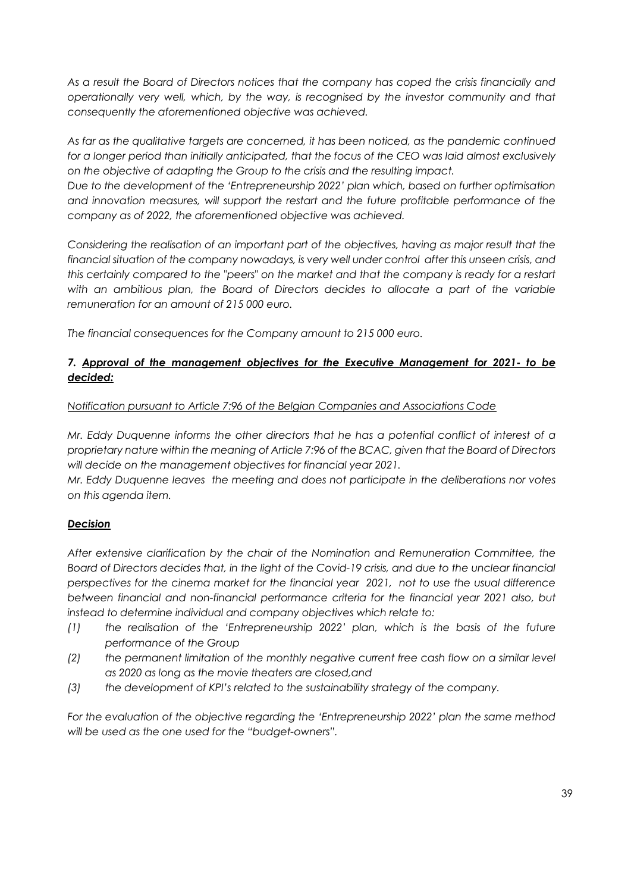*As a result the Board of Directors notices that the company has coped the crisis financially and operationally very well, which, by the way, is recognised by the investor community and that consequently the aforementioned objective was achieved.* 

*As far as the qualitative targets are concerned, it has been noticed, as the pandemic continued*  for a longer period than initially anticipated, that the focus of the CEO was laid almost exclusively *on the objective of adapting the Group to the crisis and the resulting impact.* 

*Due to the development of the 'Entrepreneurship 2022' plan which, based on further optimisation and innovation measures, will support the restart and the future profitable performance of the company as of 2022, the aforementioned objective was achieved.*

*Considering the realisation of an important part of the objectives, having as major result that the financial situation of the company nowadays, is very well under control after this unseen crisis, and this certainly compared to the "peers" on the market and that the company is ready for a restart with an ambitious plan, the Board of Directors decides to allocate a part of the variable remuneration for an amount of 215 000 euro.*

*The financial consequences for the Company amount to 215 000 euro.*

## *7. Approval of the management objectives for the Executive Management for 2021- to be decided:*

## *Notification pursuant to Article 7:96 of the Belgian Companies and Associations Code*

*Mr. Eddy Duquenne informs the other directors that he has a potential conflict of interest of a proprietary nature within the meaning of Article 7:96 of the BCAC, given that the Board of Directors will decide on the management objectives for financial year 2021.*

*Mr. Eddy Duquenne leaves the meeting and does not participate in the deliberations nor votes on this agenda item.*

## *Decision*

*After extensive clarification by the chair of the Nomination and Remuneration Committee, the Board of Directors decides that, in the light of the Covid-19 crisis, and due to the unclear financial perspectives for the cinema market for the financial year 2021, not to use the usual difference between financial and non-financial performance criteria for the financial year 2021 also, but instead to determine individual and company objectives which relate to:*

- *(1) the realisation of the 'Entrepreneurship 2022' plan, which is the basis of the future performance of the Group*
- *(2) the permanent limitation of the monthly negative current free cash flow on a similar level as 2020 as long as the movie theaters are closed,and*
- *(3) the development of KPI's related to the sustainability strategy of the company.*

*For the evaluation of the objective regarding the 'Entrepreneurship 2022' plan the same method will be used as the one used for the "budget-owners".*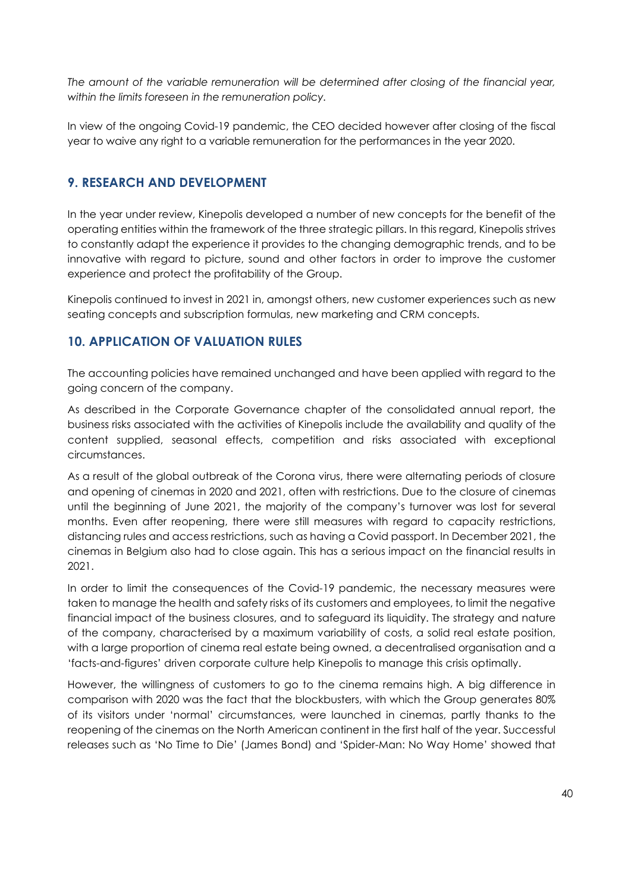*The amount of the variable remuneration will be determined after closing of the financial year, within the limits foreseen in the remuneration policy.*

In view of the ongoing Covid-19 pandemic, the CEO decided however after closing of the fiscal year to waive any right to a variable remuneration for the performances in the year 2020.

# **9. RESEARCH AND DEVELOPMENT**

In the year under review, Kinepolis developed a number of new concepts for the benefit of the operating entities within the framework of the three strategic pillars. In this regard, Kinepolis strives to constantly adapt the experience it provides to the changing demographic trends, and to be innovative with regard to picture, sound and other factors in order to improve the customer experience and protect the profitability of the Group.

Kinepolis continued to invest in 2021 in, amongst others, new customer experiences such as new seating concepts and subscription formulas, new marketing and CRM concepts.

# **10. APPLICATION OF VALUATION RULES**

The accounting policies have remained unchanged and have been applied with regard to the going concern of the company.

As described in the Corporate Governance chapter of the consolidated annual report, the business risks associated with the activities of Kinepolis include the availability and quality of the content supplied, seasonal effects, competition and risks associated with exceptional circumstances.

As a result of the global outbreak of the Corona virus, there were alternating periods of closure and opening of cinemas in 2020 and 2021, often with restrictions. Due to the closure of cinemas until the beginning of June 2021, the majority of the company's turnover was lost for several months. Even after reopening, there were still measures with regard to capacity restrictions, distancing rules and access restrictions, such as having a Covid passport. In December 2021, the cinemas in Belgium also had to close again. This has a serious impact on the financial results in 2021.

In order to limit the consequences of the Covid-19 pandemic, the necessary measures were taken to manage the health and safety risks of its customers and employees, to limit the negative financial impact of the business closures, and to safeguard its liquidity. The strategy and nature of the company, characterised by a maximum variability of costs, a solid real estate position, with a large proportion of cinema real estate being owned, a decentralised organisation and a 'facts-and-figures' driven corporate culture help Kinepolis to manage this crisis optimally.

However, the willingness of customers to go to the cinema remains high. A big difference in comparison with 2020 was the fact that the blockbusters, with which the Group generates 80% of its visitors under 'normal' circumstances, were launched in cinemas, partly thanks to the reopening of the cinemas on the North American continent in the first half of the year. Successful releases such as 'No Time to Die' (James Bond) and 'Spider-Man: No Way Home' showed that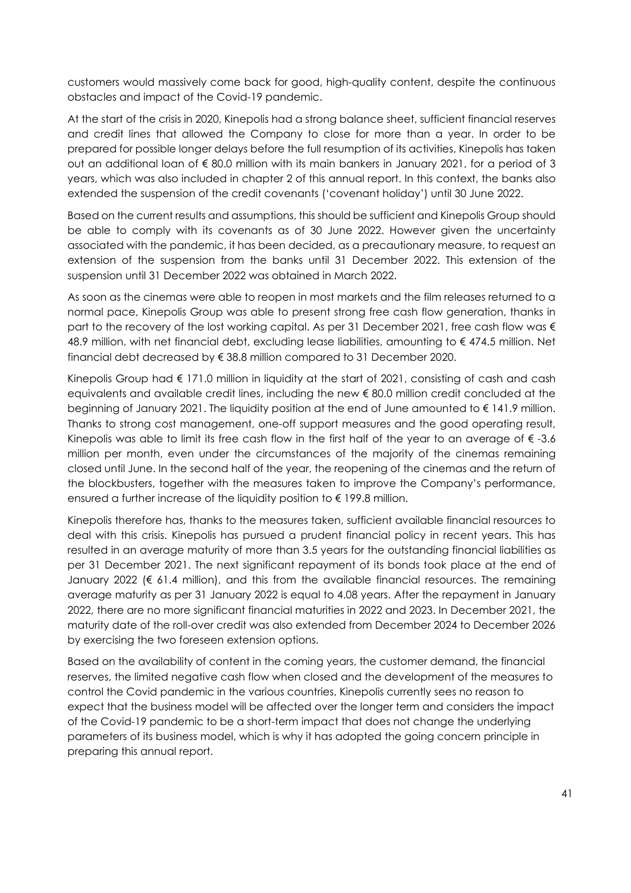customers would massively come back for good, high-quality content, despite the continuous obstacles and impact of the Covid-19 pandemic.

At the start of the crisis in 2020, Kinepolis had a strong balance sheet, sufficient financial reserves and credit lines that allowed the Company to close for more than a year. In order to be prepared for possible longer delays before the full resumption of its activities, Kinepolis has taken out an additional loan of  $\epsilon$  80.0 million with its main bankers in January 2021, for a period of 3 years, which was also included in chapter 2 of this annual report. In this context, the banks also extended the suspension of the credit covenants ('covenant holiday') until 30 June 2022.

Based on the current results and assumptions, this should be sufficient and Kinepolis Group should be able to comply with its covenants as of 30 June 2022. However given the uncertainty associated with the pandemic, it has been decided, as a precautionary measure, to request an extension of the suspension from the banks until 31 December 2022. This extension of the suspension until 31 December 2022 was obtained in March 2022.

As soon as the cinemas were able to reopen in most markets and the film releases returned to a normal pace, Kinepolis Group was able to present strong free cash flow generation, thanks in part to the recovery of the lost working capital. As per 31 December 2021, free cash flow was  $\epsilon$ 48.9 million, with net financial debt, excluding lease liabilities, amounting to € 474.5 million. Net financial debt decreased by € 38.8 million compared to 31 December 2020.

Kinepolis Group had € 171.0 million in liquidity at the start of 2021, consisting of cash and cash equivalents and available credit lines, including the new € 80.0 million credit concluded at the beginning of January 2021. The liquidity position at the end of June amounted to € 141.9 million. Thanks to strong cost management, one-off support measures and the good operating result, Kinepolis was able to limit its free cash flow in the first half of the year to an average of  $\epsilon$  -3.6 million per month, even under the circumstances of the majority of the cinemas remaining closed until June. In the second half of the year, the reopening of the cinemas and the return of the blockbusters, together with the measures taken to improve the Company's performance, ensured a further increase of the liquidity position to  $\epsilon$  199.8 million.

Kinepolis therefore has, thanks to the measures taken, sufficient available financial resources to deal with this crisis. Kinepolis has pursued a prudent financial policy in recent years. This has resulted in an average maturity of more than 3.5 years for the outstanding financial liabilities as per 31 December 2021. The next significant repayment of its bonds took place at the end of January 2022 ( $\epsilon$  61.4 million), and this from the available financial resources. The remaining average maturity as per 31 January 2022 is equal to 4.08 years. After the repayment in January 2022, there are no more significant financial maturities in 2022 and 2023. In December 2021, the maturity date of the roll-over credit was also extended from December 2024 to December 2026 by exercising the two foreseen extension options.

Based on the availability of content in the coming years, the customer demand, the financial reserves, the limited negative cash flow when closed and the development of the measures to control the Covid pandemic in the various countries, Kinepolis currently sees no reason to expect that the business model will be affected over the longer term and considers the impact of the Covid-19 pandemic to be a short-term impact that does not change the underlying parameters of its business model, which is why it has adopted the going concern principle in preparing this annual report.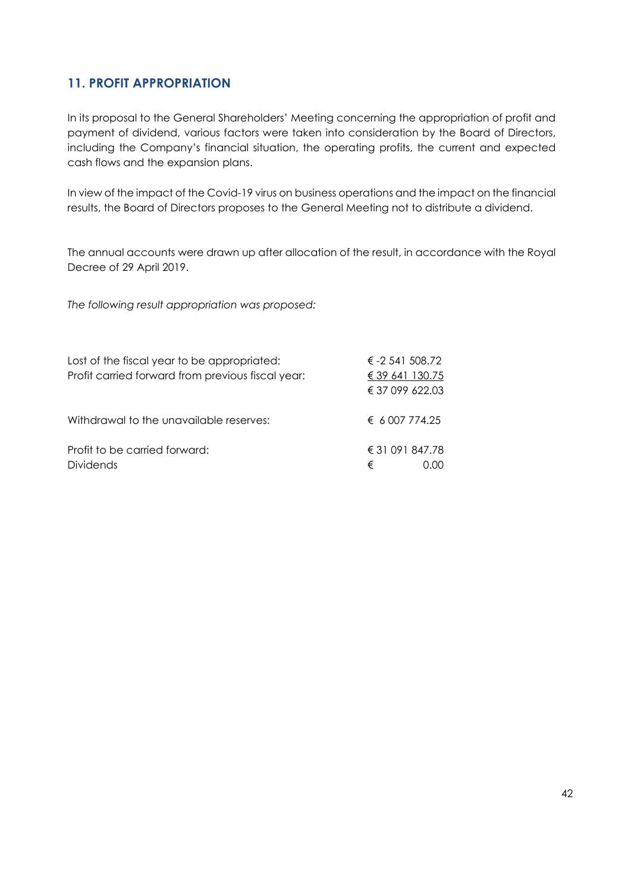# **11. PROFIT APPROPRIATION**

In its proposal to the General Shareholders' Meeting concerning the appropriation of profit and payment of dividend, various factors were taken into consideration by the Board of Directors, including the Company's financial situation, the operating profits, the current and expected cash flows and the expansion plans.

In view of the impact of the Covid-19 virus on business operations and the impact on the financial results, the Board of Directors proposes to the General Meeting not to distribute a dividend.

The annual accounts were drawn up after allocation of the result, in accordance with the Royal Decree of 29 April 2019.

*The following result appropriation was proposed:*

| Lost of the fiscal year to be appropriated:<br>Profit carried forward from previous fiscal year: | € $-2$ 541 508.72<br>€ 39 641 130.75 |      |
|--------------------------------------------------------------------------------------------------|--------------------------------------|------|
|                                                                                                  | € 37 099 622.03                      |      |
| Withdrawal to the unavailable reserves:                                                          | $\epsilon$ 6 007 774.25              |      |
| Profit to be carried forward:<br><b>Dividends</b>                                                | € 31 091 847.78<br>€                 | 0.00 |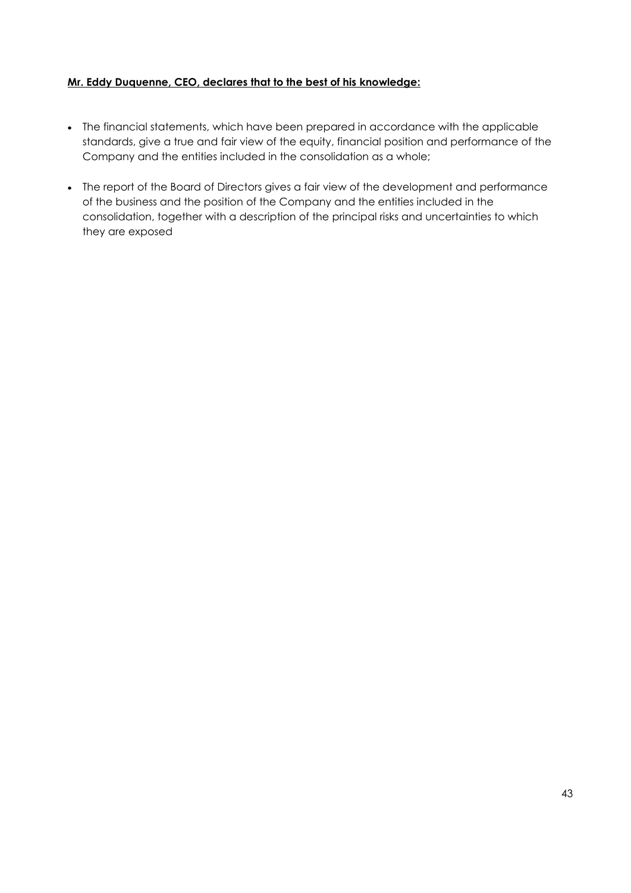## **Mr. Eddy Duquenne, CEO, declares that to the best of his knowledge:**

- The financial statements, which have been prepared in accordance with the applicable standards, give a true and fair view of the equity, financial position and performance of the Company and the entities included in the consolidation as a whole;
- The report of the Board of Directors gives a fair view of the development and performance of the business and the position of the Company and the entities included in the consolidation, together with a description of the principal risks and uncertainties to which they are exposed